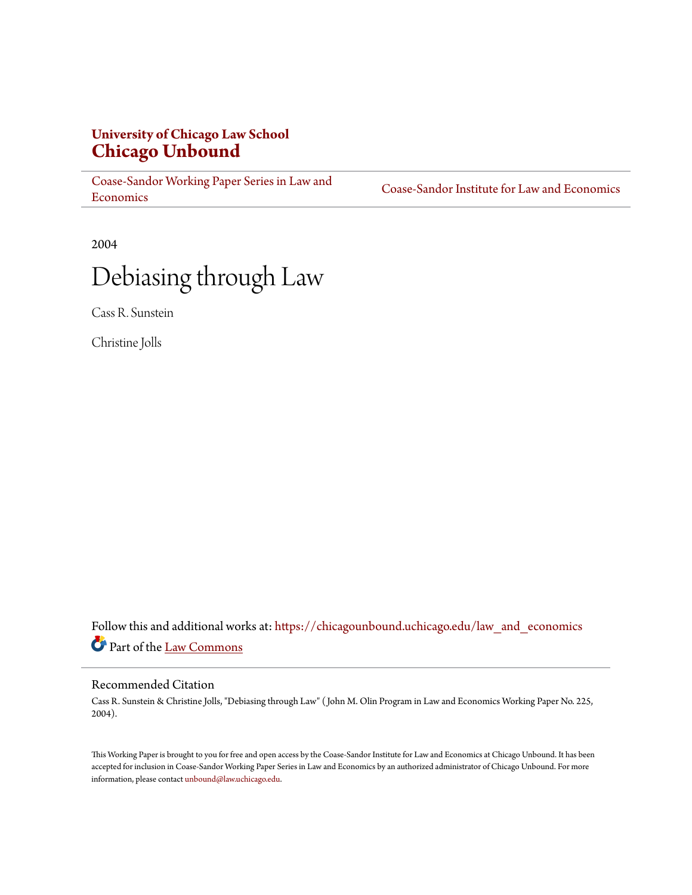## **University of Chicago Law School [Chicago Unbound](https://chicagounbound.uchicago.edu?utm_source=chicagounbound.uchicago.edu%2Flaw_and_economics%2F158&utm_medium=PDF&utm_campaign=PDFCoverPages)**

[Coase-Sandor Working Paper Series in Law and](https://chicagounbound.uchicago.edu/law_and_economics?utm_source=chicagounbound.uchicago.edu%2Flaw_and_economics%2F158&utm_medium=PDF&utm_campaign=PDFCoverPages) [Economics](https://chicagounbound.uchicago.edu/law_and_economics?utm_source=chicagounbound.uchicago.edu%2Flaw_and_economics%2F158&utm_medium=PDF&utm_campaign=PDFCoverPages)

[Coase-Sandor Institute for Law and Economics](https://chicagounbound.uchicago.edu/coase_sandor_institute?utm_source=chicagounbound.uchicago.edu%2Flaw_and_economics%2F158&utm_medium=PDF&utm_campaign=PDFCoverPages)

2004

# Debiasing through Law

Cass R. Sunstein

Christine Jolls

Follow this and additional works at: [https://chicagounbound.uchicago.edu/law\\_and\\_economics](https://chicagounbound.uchicago.edu/law_and_economics?utm_source=chicagounbound.uchicago.edu%2Flaw_and_economics%2F158&utm_medium=PDF&utm_campaign=PDFCoverPages) Part of the [Law Commons](http://network.bepress.com/hgg/discipline/578?utm_source=chicagounbound.uchicago.edu%2Flaw_and_economics%2F158&utm_medium=PDF&utm_campaign=PDFCoverPages)

#### Recommended Citation

Cass R. Sunstein & Christine Jolls, "Debiasing through Law" ( John M. Olin Program in Law and Economics Working Paper No. 225, 2004).

This Working Paper is brought to you for free and open access by the Coase-Sandor Institute for Law and Economics at Chicago Unbound. It has been accepted for inclusion in Coase-Sandor Working Paper Series in Law and Economics by an authorized administrator of Chicago Unbound. For more information, please contact [unbound@law.uchicago.edu.](mailto:unbound@law.uchicago.edu)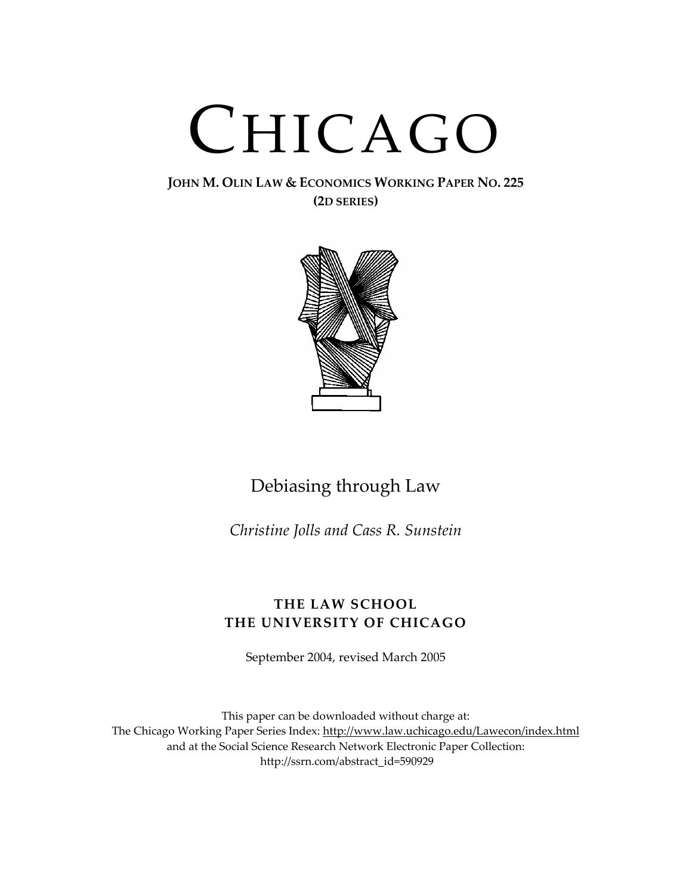# CHICAGO

#### **JOHN M. OLIN LAW & ECONOMICS WORKING PAPER NO. 225 (2D SERIES)**



# Debiasing through Law

*Christine Jolls and Cass R. Sunstein*

### **THE LAW SCHOOL THE UNIVERSITY OF CHICAGO**

September 2004, revised March 2005

This paper can be downloaded without charge at: The Chicago Working Paper Series Index: http://www.law.uchicago.edu/Lawecon/index.html and at the Social Science Research Network Electronic Paper Collection: http://ssrn.com/abstract\_id=590929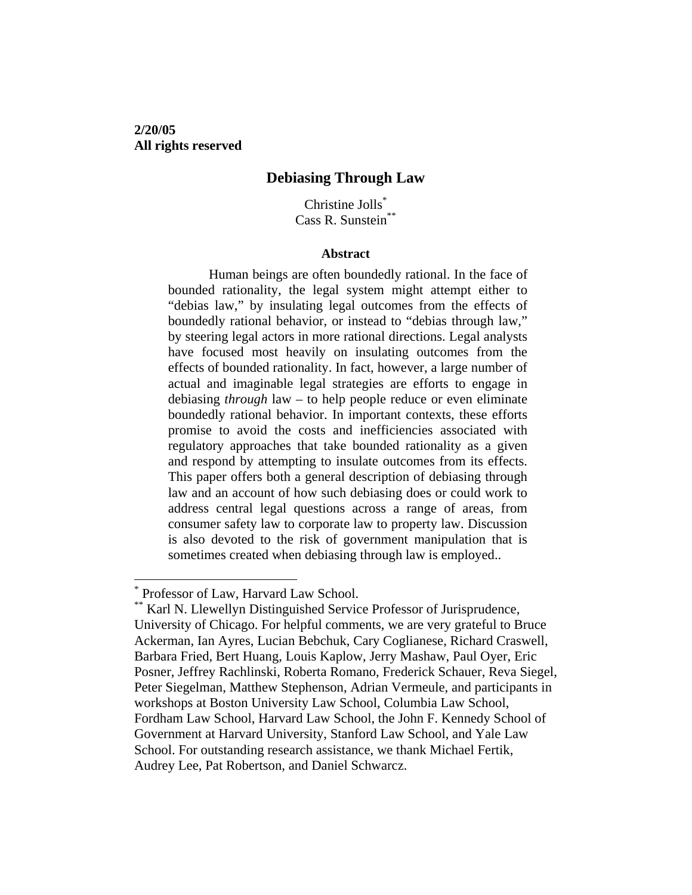**2/20/05 All rights reserved** 

#### **Debiasing Through Law**

Christine Jolls\* Cass R. Sunstein\*\*

#### **Abstract**

Human beings are often boundedly rational. In the face of bounded rationality, the legal system might attempt either to "debias law," by insulating legal outcomes from the effects of boundedly rational behavior, or instead to "debias through law," by steering legal actors in more rational directions. Legal analysts have focused most heavily on insulating outcomes from the effects of bounded rationality. In fact, however, a large number of actual and imaginable legal strategies are efforts to engage in debiasing *through* law – to help people reduce or even eliminate boundedly rational behavior. In important contexts, these efforts promise to avoid the costs and inefficiencies associated with regulatory approaches that take bounded rationality as a given and respond by attempting to insulate outcomes from its effects. This paper offers both a general description of debiasing through law and an account of how such debiasing does or could work to address central legal questions across a range of areas, from consumer safety law to corporate law to property law. Discussion is also devoted to the risk of government manipulation that is sometimes created when debiasing through law is employed..

<sup>\*</sup> Professor of Law, Harvard Law School.

<sup>\*\*</sup> Karl N. Llewellyn Distinguished Service Professor of Jurisprudence, University of Chicago. For helpful comments, we are very grateful to Bruce Ackerman, Ian Ayres, Lucian Bebchuk, Cary Coglianese, Richard Craswell, Barbara Fried, Bert Huang, Louis Kaplow, Jerry Mashaw, Paul Oyer, Eric Posner, Jeffrey Rachlinski, Roberta Romano, Frederick Schauer, Reva Siegel, Peter Siegelman, Matthew Stephenson, Adrian Vermeule, and participants in workshops at Boston University Law School, Columbia Law School, Fordham Law School, Harvard Law School, the John F. Kennedy School of Government at Harvard University, Stanford Law School, and Yale Law School. For outstanding research assistance, we thank Michael Fertik, Audrey Lee, Pat Robertson, and Daniel Schwarcz.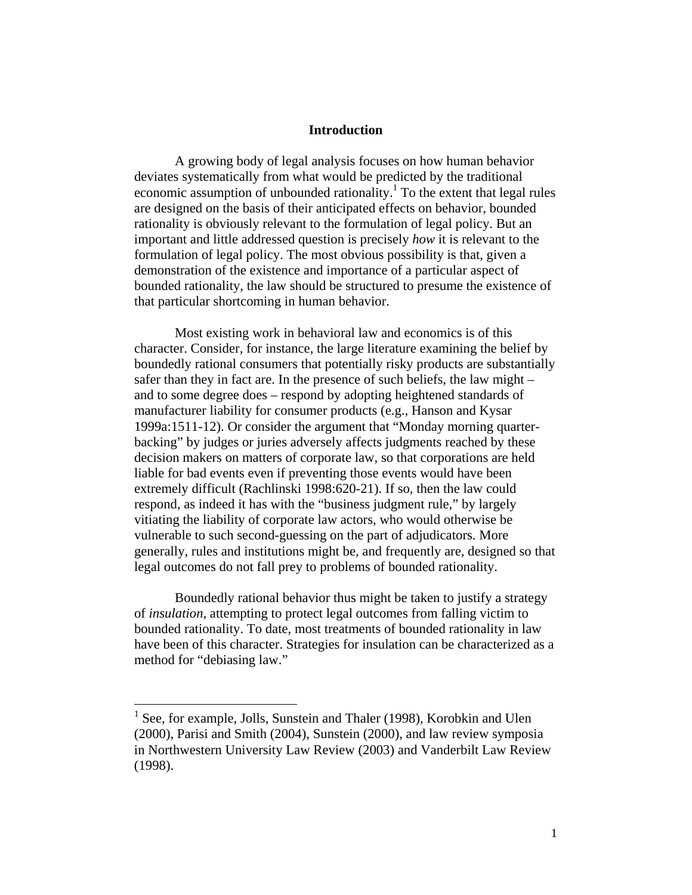#### **Introduction**

A growing body of legal analysis focuses on how human behavior deviates systematically from what would be predicted by the traditional economic assumption of unbounded rationality.<sup>1</sup> To the extent that legal rules are designed on the basis of their anticipated effects on behavior, bounded rationality is obviously relevant to the formulation of legal policy. But an important and little addressed question is precisely *how* it is relevant to the formulation of legal policy. The most obvious possibility is that, given a demonstration of the existence and importance of a particular aspect of bounded rationality, the law should be structured to presume the existence of that particular shortcoming in human behavior.

Most existing work in behavioral law and economics is of this character. Consider, for instance, the large literature examining the belief by boundedly rational consumers that potentially risky products are substantially safer than they in fact are. In the presence of such beliefs, the law might – and to some degree does – respond by adopting heightened standards of manufacturer liability for consumer products (e.g., Hanson and Kysar 1999a:1511-12). Or consider the argument that "Monday morning quarterbacking" by judges or juries adversely affects judgments reached by these decision makers on matters of corporate law, so that corporations are held liable for bad events even if preventing those events would have been extremely difficult (Rachlinski 1998:620-21). If so, then the law could respond, as indeed it has with the "business judgment rule," by largely vitiating the liability of corporate law actors, who would otherwise be vulnerable to such second-guessing on the part of adjudicators. More generally, rules and institutions might be, and frequently are, designed so that legal outcomes do not fall prey to problems of bounded rationality.

Boundedly rational behavior thus might be taken to justify a strategy of *insulation*, attempting to protect legal outcomes from falling victim to bounded rationality. To date, most treatments of bounded rationality in law have been of this character. Strategies for insulation can be characterized as a method for "debiasing law."

1

<sup>&</sup>lt;sup>1</sup> See, for example, Jolls, Sunstein and Thaler (1998), Korobkin and Ulen (2000), Parisi and Smith (2004), Sunstein (2000), and law review symposia in Northwestern University Law Review (2003) and Vanderbilt Law Review (1998).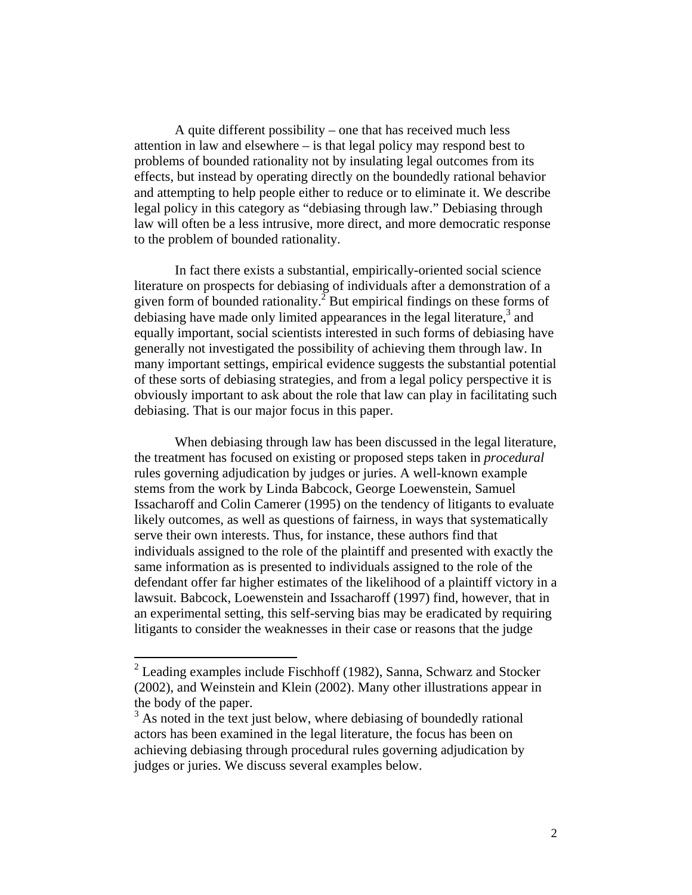A quite different possibility – one that has received much less attention in law and elsewhere – is that legal policy may respond best to problems of bounded rationality not by insulating legal outcomes from its effects, but instead by operating directly on the boundedly rational behavior and attempting to help people either to reduce or to eliminate it. We describe legal policy in this category as "debiasing through law." Debiasing through law will often be a less intrusive, more direct, and more democratic response to the problem of bounded rationality.

In fact there exists a substantial, empirically-oriented social science literature on prospects for debiasing of individuals after a demonstration of a given form of bounded rationality.<sup>2</sup> But empirical findings on these forms of debiasing have made only limited appearances in the legal literature, $3$  and equally important, social scientists interested in such forms of debiasing have generally not investigated the possibility of achieving them through law. In many important settings, empirical evidence suggests the substantial potential of these sorts of debiasing strategies, and from a legal policy perspective it is obviously important to ask about the role that law can play in facilitating such debiasing. That is our major focus in this paper.

When debiasing through law has been discussed in the legal literature, the treatment has focused on existing or proposed steps taken in *procedural* rules governing adjudication by judges or juries. A well-known example stems from the work by Linda Babcock, George Loewenstein, Samuel Issacharoff and Colin Camerer (1995) on the tendency of litigants to evaluate likely outcomes, as well as questions of fairness, in ways that systematically serve their own interests. Thus, for instance, these authors find that individuals assigned to the role of the plaintiff and presented with exactly the same information as is presented to individuals assigned to the role of the defendant offer far higher estimates of the likelihood of a plaintiff victory in a lawsuit. Babcock, Loewenstein and Issacharoff (1997) find, however, that in an experimental setting, this self-serving bias may be eradicated by requiring litigants to consider the weaknesses in their case or reasons that the judge

 $2$  Leading examples include Fischhoff (1982), Sanna, Schwarz and Stocker (2002), and Weinstein and Klein (2002). Many other illustrations appear in the body of the paper.

<sup>&</sup>lt;sup>3</sup> As noted in the text just below, where debiasing of boundedly rational actors has been examined in the legal literature, the focus has been on achieving debiasing through procedural rules governing adjudication by judges or juries. We discuss several examples below.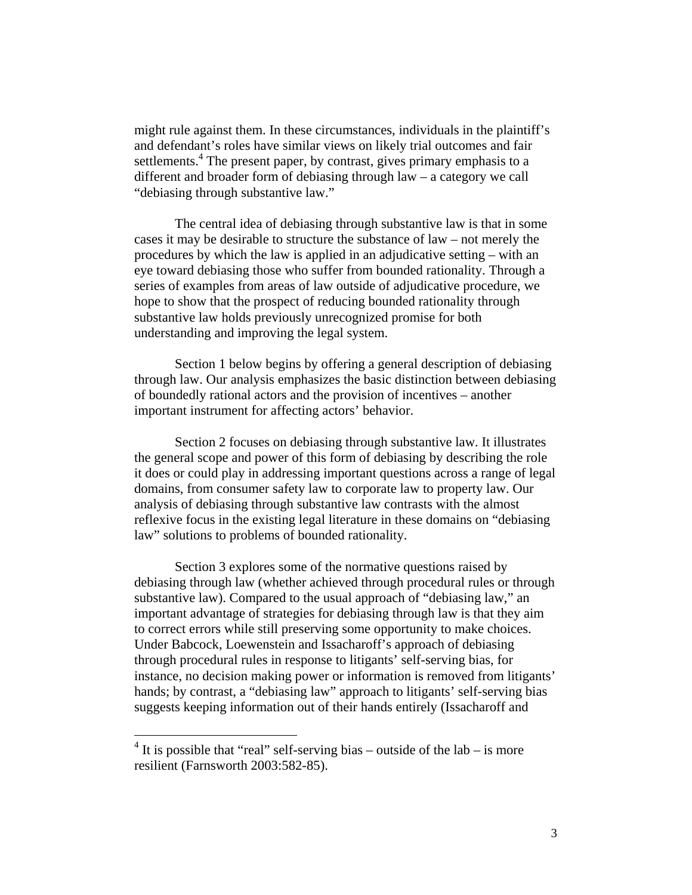might rule against them. In these circumstances, individuals in the plaintiff's and defendant's roles have similar views on likely trial outcomes and fair settlements.<sup>4</sup> The present paper, by contrast, gives primary emphasis to a different and broader form of debiasing through law – a category we call "debiasing through substantive law."

The central idea of debiasing through substantive law is that in some cases it may be desirable to structure the substance of law – not merely the procedures by which the law is applied in an adjudicative setting – with an eye toward debiasing those who suffer from bounded rationality. Through a series of examples from areas of law outside of adjudicative procedure, we hope to show that the prospect of reducing bounded rationality through substantive law holds previously unrecognized promise for both understanding and improving the legal system.

Section 1 below begins by offering a general description of debiasing through law. Our analysis emphasizes the basic distinction between debiasing of boundedly rational actors and the provision of incentives – another important instrument for affecting actors' behavior.

Section 2 focuses on debiasing through substantive law. It illustrates the general scope and power of this form of debiasing by describing the role it does or could play in addressing important questions across a range of legal domains, from consumer safety law to corporate law to property law. Our analysis of debiasing through substantive law contrasts with the almost reflexive focus in the existing legal literature in these domains on "debiasing law" solutions to problems of bounded rationality.

Section 3 explores some of the normative questions raised by debiasing through law (whether achieved through procedural rules or through substantive law). Compared to the usual approach of "debiasing law," an important advantage of strategies for debiasing through law is that they aim to correct errors while still preserving some opportunity to make choices. Under Babcock, Loewenstein and Issacharoff's approach of debiasing through procedural rules in response to litigants' self-serving bias, for instance, no decision making power or information is removed from litigants' hands; by contrast, a "debiasing law" approach to litigants' self-serving bias suggests keeping information out of their hands entirely (Issacharoff and

 $4$  It is possible that "real" self-serving bias – outside of the lab – is more resilient (Farnsworth 2003:582-85).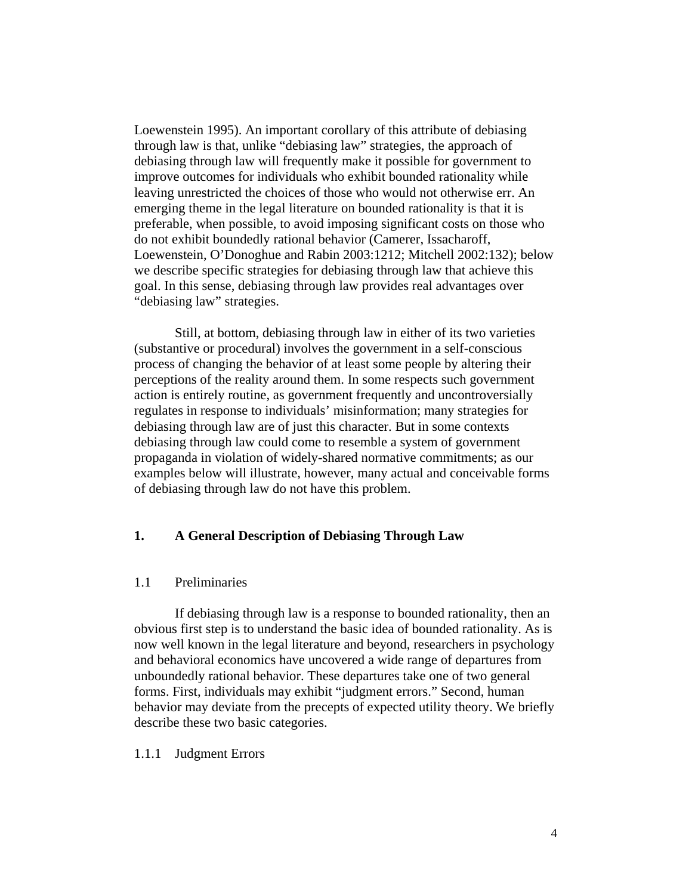Loewenstein 1995). An important corollary of this attribute of debiasing through law is that, unlike "debiasing law" strategies, the approach of debiasing through law will frequently make it possible for government to improve outcomes for individuals who exhibit bounded rationality while leaving unrestricted the choices of those who would not otherwise err. An emerging theme in the legal literature on bounded rationality is that it is preferable, when possible, to avoid imposing significant costs on those who do not exhibit boundedly rational behavior (Camerer, Issacharoff, Loewenstein, O'Donoghue and Rabin 2003:1212; Mitchell 2002:132); below we describe specific strategies for debiasing through law that achieve this goal. In this sense, debiasing through law provides real advantages over "debiasing law" strategies.

Still, at bottom, debiasing through law in either of its two varieties (substantive or procedural) involves the government in a self-conscious process of changing the behavior of at least some people by altering their perceptions of the reality around them. In some respects such government action is entirely routine, as government frequently and uncontroversially regulates in response to individuals' misinformation; many strategies for debiasing through law are of just this character. But in some contexts debiasing through law could come to resemble a system of government propaganda in violation of widely-shared normative commitments; as our examples below will illustrate, however, many actual and conceivable forms of debiasing through law do not have this problem.

#### **1. A General Description of Debiasing Through Law**

#### 1.1 Preliminaries

 If debiasing through law is a response to bounded rationality, then an obvious first step is to understand the basic idea of bounded rationality. As is now well known in the legal literature and beyond, researchers in psychology and behavioral economics have uncovered a wide range of departures from unboundedly rational behavior. These departures take one of two general forms. First, individuals may exhibit "judgment errors." Second, human behavior may deviate from the precepts of expected utility theory. We briefly describe these two basic categories.

#### 1.1.1 Judgment Errors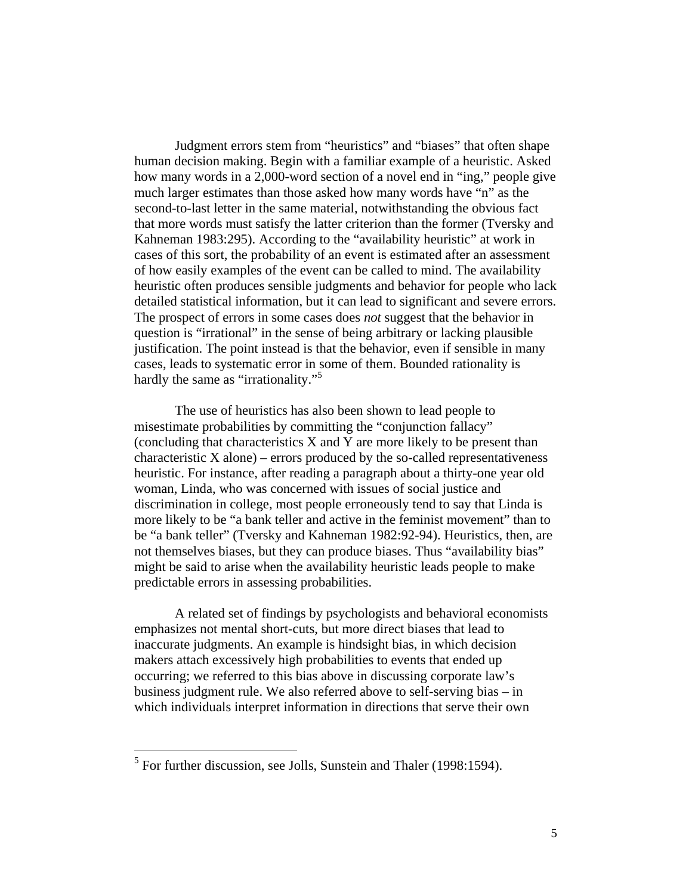Judgment errors stem from "heuristics" and "biases" that often shape human decision making. Begin with a familiar example of a heuristic. Asked how many words in a 2,000-word section of a novel end in "ing," people give much larger estimates than those asked how many words have "n" as the second-to-last letter in the same material, notwithstanding the obvious fact that more words must satisfy the latter criterion than the former (Tversky and Kahneman 1983:295). According to the "availability heuristic" at work in cases of this sort, the probability of an event is estimated after an assessment of how easily examples of the event can be called to mind. The availability heuristic often produces sensible judgments and behavior for people who lack detailed statistical information, but it can lead to significant and severe errors. The prospect of errors in some cases does *not* suggest that the behavior in question is "irrational" in the sense of being arbitrary or lacking plausible justification. The point instead is that the behavior, even if sensible in many cases, leads to systematic error in some of them. Bounded rationality is hardly the same as "irrationality."<sup>5</sup>

The use of heuristics has also been shown to lead people to misestimate probabilities by committing the "conjunction fallacy" (concluding that characteristics X and Y are more likely to be present than  $characteristic X alone$ ) – errors produced by the so-called representativeness heuristic. For instance, after reading a paragraph about a thirty-one year old woman, Linda, who was concerned with issues of social justice and discrimination in college, most people erroneously tend to say that Linda is more likely to be "a bank teller and active in the feminist movement" than to be "a bank teller" (Tversky and Kahneman 1982:92-94). Heuristics, then, are not themselves biases, but they can produce biases. Thus "availability bias" might be said to arise when the availability heuristic leads people to make predictable errors in assessing probabilities.

A related set of findings by psychologists and behavioral economists emphasizes not mental short-cuts, but more direct biases that lead to inaccurate judgments. An example is hindsight bias, in which decision makers attach excessively high probabilities to events that ended up occurring; we referred to this bias above in discussing corporate law's business judgment rule. We also referred above to self-serving bias – in which individuals interpret information in directions that serve their own

<u>.</u>

<sup>&</sup>lt;sup>5</sup> For further discussion, see Jolls, Sunstein and Thaler (1998:1594).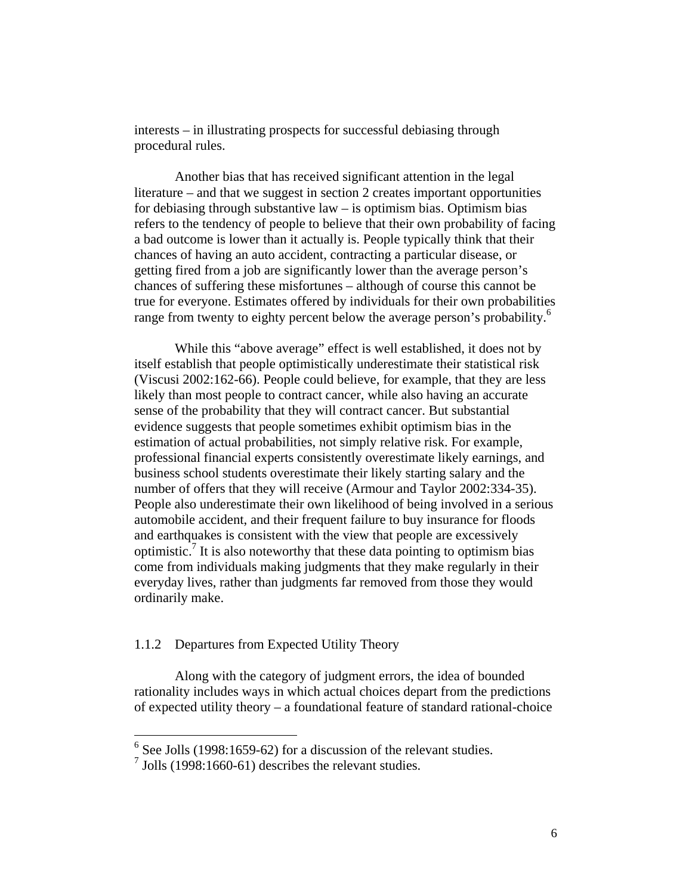interests – in illustrating prospects for successful debiasing through procedural rules.

Another bias that has received significant attention in the legal literature – and that we suggest in section 2 creates important opportunities for debiasing through substantive  $law - is$  optimism bias. Optimism bias refers to the tendency of people to believe that their own probability of facing a bad outcome is lower than it actually is. People typically think that their chances of having an auto accident, contracting a particular disease, or getting fired from a job are significantly lower than the average person's chances of suffering these misfortunes – although of course this cannot be true for everyone. Estimates offered by individuals for their own probabilities range from twenty to eighty percent below the average person's probability.<sup>6</sup>

While this "above average" effect is well established, it does not by itself establish that people optimistically underestimate their statistical risk (Viscusi 2002:162-66). People could believe, for example, that they are less likely than most people to contract cancer, while also having an accurate sense of the probability that they will contract cancer. But substantial evidence suggests that people sometimes exhibit optimism bias in the estimation of actual probabilities, not simply relative risk. For example, professional financial experts consistently overestimate likely earnings, and business school students overestimate their likely starting salary and the number of offers that they will receive (Armour and Taylor 2002:334-35). People also underestimate their own likelihood of being involved in a serious automobile accident, and their frequent failure to buy insurance for floods and earthquakes is consistent with the view that people are excessively optimistic.<sup>7</sup> It is also noteworthy that these data pointing to optimism bias come from individuals making judgments that they make regularly in their everyday lives, rather than judgments far removed from those they would ordinarily make.

#### 1.1.2 Departures from Expected Utility Theory

Along with the category of judgment errors, the idea of bounded rationality includes ways in which actual choices depart from the predictions of expected utility theory – a foundational feature of standard rational-choice

<sup>&</sup>lt;sup>6</sup> See Jolls (1998:1659-62) for a discussion of the relevant studies.

 $^7$  Jolls (1998:1660-61) describes the relevant studies.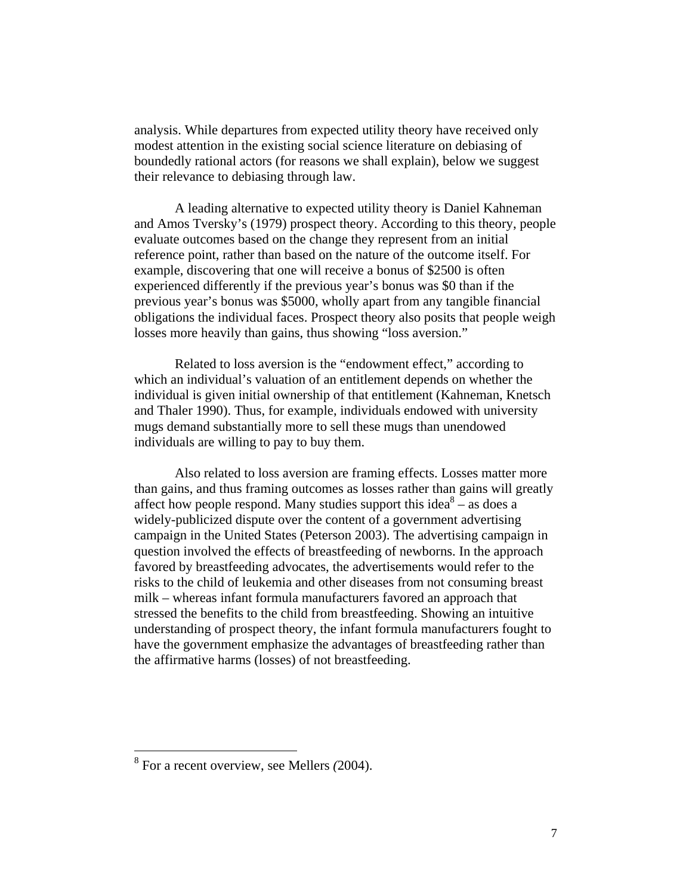analysis. While departures from expected utility theory have received only modest attention in the existing social science literature on debiasing of boundedly rational actors (for reasons we shall explain), below we suggest their relevance to debiasing through law.

A leading alternative to expected utility theory is Daniel Kahneman and Amos Tversky's (1979) prospect theory. According to this theory, people evaluate outcomes based on the change they represent from an initial reference point, rather than based on the nature of the outcome itself. For example, discovering that one will receive a bonus of \$2500 is often experienced differently if the previous year's bonus was \$0 than if the previous year's bonus was \$5000, wholly apart from any tangible financial obligations the individual faces. Prospect theory also posits that people weigh losses more heavily than gains, thus showing "loss aversion."

Related to loss aversion is the "endowment effect," according to which an individual's valuation of an entitlement depends on whether the individual is given initial ownership of that entitlement (Kahneman, Knetsch and Thaler 1990). Thus, for example, individuals endowed with university mugs demand substantially more to sell these mugs than unendowed individuals are willing to pay to buy them.

 Also related to loss aversion are framing effects. Losses matter more than gains, and thus framing outcomes as losses rather than gains will greatly affect how people respond. Many studies support this idea<sup>8</sup> – as does a widely-publicized dispute over the content of a government advertising campaign in the United States (Peterson 2003). The advertising campaign in question involved the effects of breastfeeding of newborns. In the approach favored by breastfeeding advocates, the advertisements would refer to the risks to the child of leukemia and other diseases from not consuming breast milk – whereas infant formula manufacturers favored an approach that stressed the benefits to the child from breastfeeding. Showing an intuitive understanding of prospect theory, the infant formula manufacturers fought to have the government emphasize the advantages of breastfeeding rather than the affirmative harms (losses) of not breastfeeding.

<u>.</u>

<sup>8</sup> For a recent overview, see Mellers *(*2004).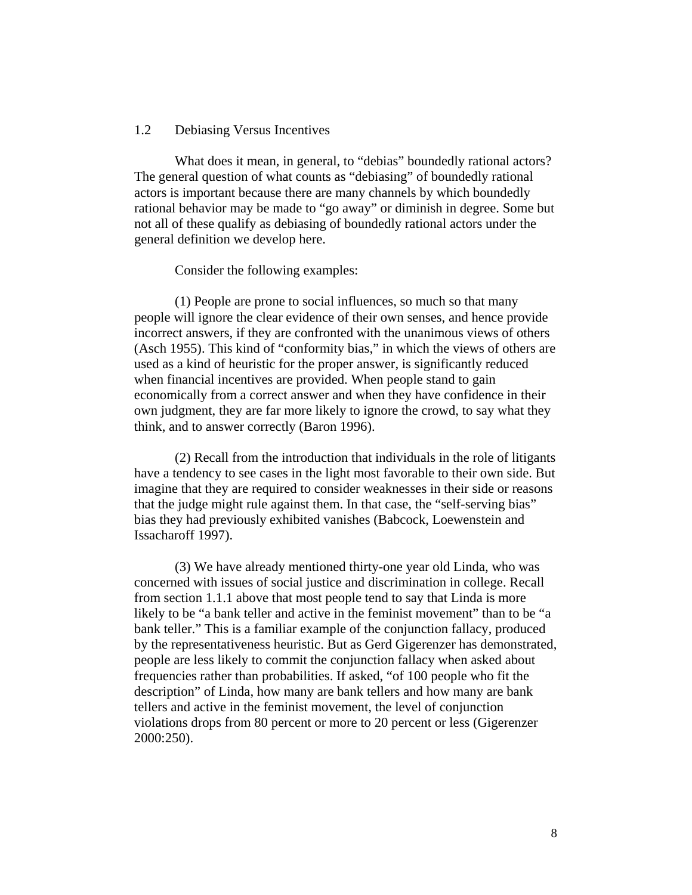#### 1.2 Debiasing Versus Incentives

What does it mean, in general, to "debias" boundedly rational actors? The general question of what counts as "debiasing" of boundedly rational actors is important because there are many channels by which boundedly rational behavior may be made to "go away" or diminish in degree. Some but not all of these qualify as debiasing of boundedly rational actors under the general definition we develop here.

Consider the following examples:

 (1) People are prone to social influences, so much so that many people will ignore the clear evidence of their own senses, and hence provide incorrect answers, if they are confronted with the unanimous views of others (Asch 1955). This kind of "conformity bias," in which the views of others are used as a kind of heuristic for the proper answer, is significantly reduced when financial incentives are provided. When people stand to gain economically from a correct answer and when they have confidence in their own judgment, they are far more likely to ignore the crowd, to say what they think, and to answer correctly (Baron 1996).

 (2) Recall from the introduction that individuals in the role of litigants have a tendency to see cases in the light most favorable to their own side. But imagine that they are required to consider weaknesses in their side or reasons that the judge might rule against them. In that case, the "self-serving bias" bias they had previously exhibited vanishes (Babcock, Loewenstein and Issacharoff 1997).

 (3) We have already mentioned thirty-one year old Linda, who was concerned with issues of social justice and discrimination in college. Recall from section 1.1.1 above that most people tend to say that Linda is more likely to be "a bank teller and active in the feminist movement" than to be "a bank teller." This is a familiar example of the conjunction fallacy, produced by the representativeness heuristic. But as Gerd Gigerenzer has demonstrated, people are less likely to commit the conjunction fallacy when asked about frequencies rather than probabilities. If asked, "of 100 people who fit the description" of Linda, how many are bank tellers and how many are bank tellers and active in the feminist movement, the level of conjunction violations drops from 80 percent or more to 20 percent or less (Gigerenzer 2000:250).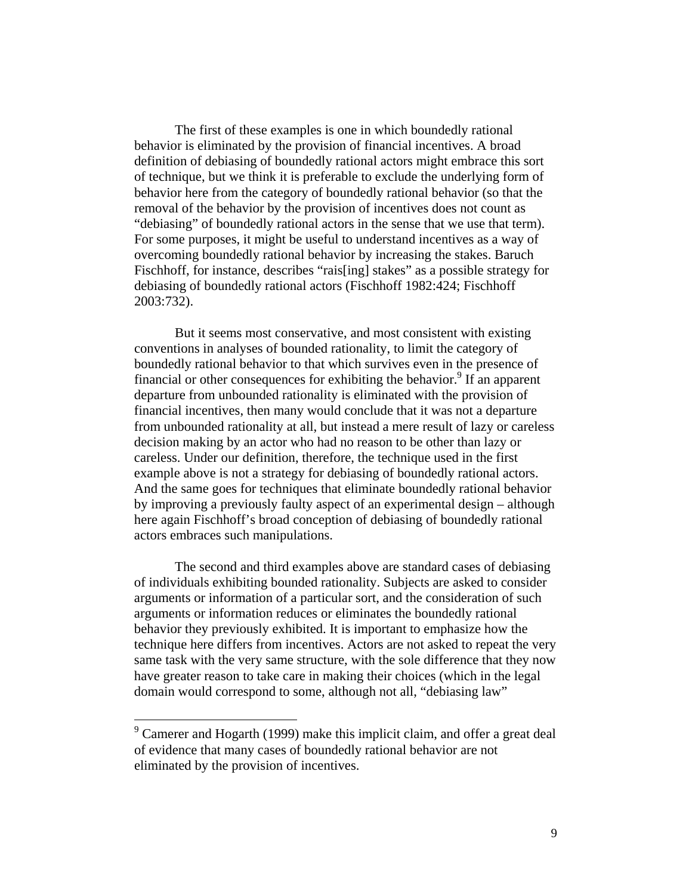The first of these examples is one in which boundedly rational behavior is eliminated by the provision of financial incentives. A broad definition of debiasing of boundedly rational actors might embrace this sort of technique, but we think it is preferable to exclude the underlying form of behavior here from the category of boundedly rational behavior (so that the removal of the behavior by the provision of incentives does not count as "debiasing" of boundedly rational actors in the sense that we use that term). For some purposes, it might be useful to understand incentives as a way of overcoming boundedly rational behavior by increasing the stakes. Baruch Fischhoff, for instance, describes "rais[ing] stakes" as a possible strategy for debiasing of boundedly rational actors (Fischhoff 1982:424; Fischhoff 2003:732).

But it seems most conservative, and most consistent with existing conventions in analyses of bounded rationality, to limit the category of boundedly rational behavior to that which survives even in the presence of financial or other consequences for exhibiting the behavior.<sup>9</sup> If an apparent departure from unbounded rationality is eliminated with the provision of financial incentives, then many would conclude that it was not a departure from unbounded rationality at all, but instead a mere result of lazy or careless decision making by an actor who had no reason to be other than lazy or careless. Under our definition, therefore, the technique used in the first example above is not a strategy for debiasing of boundedly rational actors. And the same goes for techniques that eliminate boundedly rational behavior by improving a previously faulty aspect of an experimental design – although here again Fischhoff's broad conception of debiasing of boundedly rational actors embraces such manipulations.

 The second and third examples above are standard cases of debiasing of individuals exhibiting bounded rationality. Subjects are asked to consider arguments or information of a particular sort, and the consideration of such arguments or information reduces or eliminates the boundedly rational behavior they previously exhibited. It is important to emphasize how the technique here differs from incentives. Actors are not asked to repeat the very same task with the very same structure, with the sole difference that they now have greater reason to take care in making their choices (which in the legal domain would correspond to some, although not all, "debiasing law"

 $9^9$  Camerer and Hogarth (1999) make this implicit claim, and offer a great deal of evidence that many cases of boundedly rational behavior are not eliminated by the provision of incentives.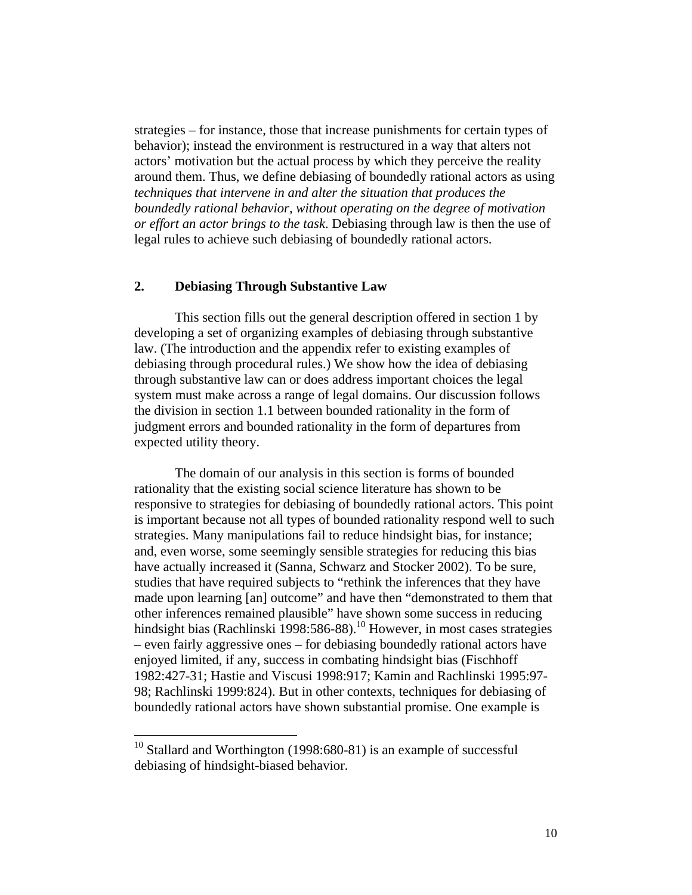strategies – for instance, those that increase punishments for certain types of behavior); instead the environment is restructured in a way that alters not actors' motivation but the actual process by which they perceive the reality around them. Thus, we define debiasing of boundedly rational actors as using *techniques that intervene in and alter the situation that produces the boundedly rational behavior, without operating on the degree of motivation or effort an actor brings to the task*. Debiasing through law is then the use of legal rules to achieve such debiasing of boundedly rational actors.

#### **2. Debiasing Through Substantive Law**

This section fills out the general description offered in section 1 by developing a set of organizing examples of debiasing through substantive law. (The introduction and the appendix refer to existing examples of debiasing through procedural rules.) We show how the idea of debiasing through substantive law can or does address important choices the legal system must make across a range of legal domains. Our discussion follows the division in section 1.1 between bounded rationality in the form of judgment errors and bounded rationality in the form of departures from expected utility theory.

The domain of our analysis in this section is forms of bounded rationality that the existing social science literature has shown to be responsive to strategies for debiasing of boundedly rational actors. This point is important because not all types of bounded rationality respond well to such strategies. Many manipulations fail to reduce hindsight bias, for instance; and, even worse, some seemingly sensible strategies for reducing this bias have actually increased it (Sanna, Schwarz and Stocker 2002). To be sure, studies that have required subjects to "rethink the inferences that they have made upon learning [an] outcome" and have then "demonstrated to them that other inferences remained plausible" have shown some success in reducing hindsight bias (Rachlinski 1998:586-88).<sup>10</sup> However, in most cases strategies – even fairly aggressive ones – for debiasing boundedly rational actors have enjoyed limited, if any, success in combating hindsight bias (Fischhoff 1982:427-31; Hastie and Viscusi 1998:917; Kamin and Rachlinski 1995:97- 98; Rachlinski 1999:824). But in other contexts, techniques for debiasing of boundedly rational actors have shown substantial promise. One example is

 $10$  Stallard and Worthington (1998:680-81) is an example of successful debiasing of hindsight-biased behavior.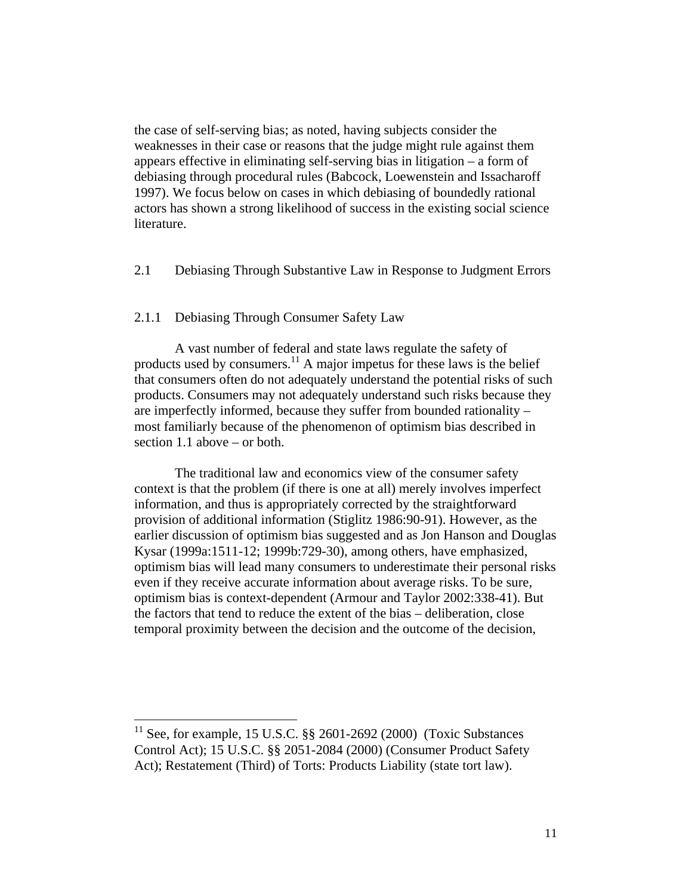the case of self-serving bias; as noted, having subjects consider the weaknesses in their case or reasons that the judge might rule against them appears effective in eliminating self-serving bias in litigation – a form of debiasing through procedural rules (Babcock, Loewenstein and Issacharoff 1997). We focus below on cases in which debiasing of boundedly rational actors has shown a strong likelihood of success in the existing social science literature.

2.1 Debiasing Through Substantive Law in Response to Judgment Errors

#### 2.1.1 Debiasing Through Consumer Safety Law

A vast number of federal and state laws regulate the safety of products used by consumers.<sup>11</sup> A major impetus for these laws is the belief that consumers often do not adequately understand the potential risks of such products. Consumers may not adequately understand such risks because they are imperfectly informed, because they suffer from bounded rationality – most familiarly because of the phenomenon of optimism bias described in section 1.1 above – or both.

The traditional law and economics view of the consumer safety context is that the problem (if there is one at all) merely involves imperfect information, and thus is appropriately corrected by the straightforward provision of additional information (Stiglitz 1986:90-91). However, as the earlier discussion of optimism bias suggested and as Jon Hanson and Douglas Kysar (1999a:1511-12; 1999b:729-30), among others, have emphasized, optimism bias will lead many consumers to underestimate their personal risks even if they receive accurate information about average risks. To be sure, optimism bias is context-dependent (Armour and Taylor 2002:338-41). But the factors that tend to reduce the extent of the bias – deliberation, close temporal proximity between the decision and the outcome of the decision,

See, for example, 15 U.S.C. §§ 2601-2692 (2000) (Toxic Substances Control Act); 15 U.S.C. §§ 2051-2084 (2000) (Consumer Product Safety Act); Restatement (Third) of Torts: Products Liability (state tort law).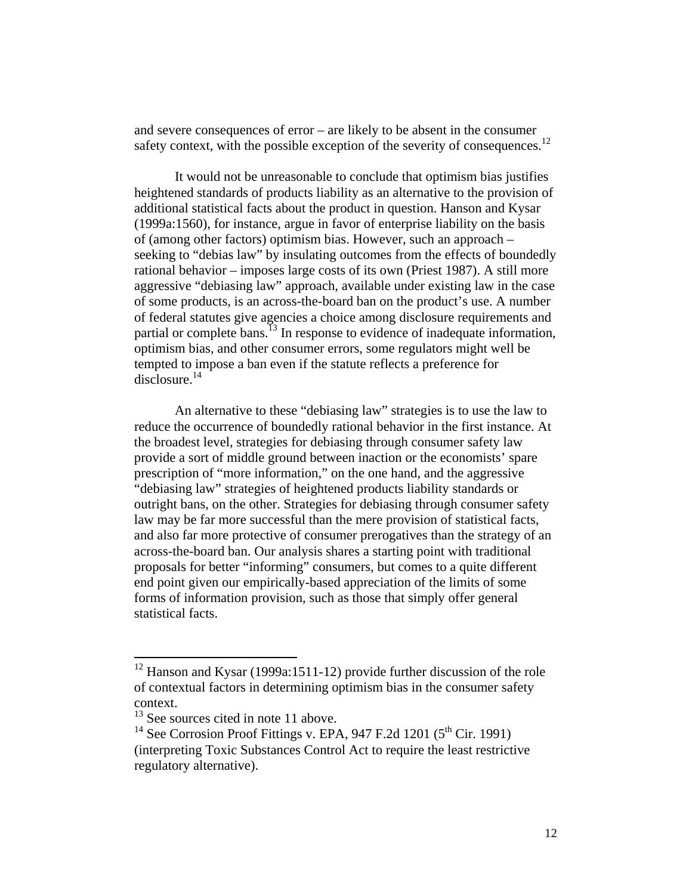and severe consequences of error – are likely to be absent in the consumer safety context, with the possible exception of the severity of consequences.<sup>12</sup>

 It would not be unreasonable to conclude that optimism bias justifies heightened standards of products liability as an alternative to the provision of additional statistical facts about the product in question. Hanson and Kysar (1999a:1560), for instance, argue in favor of enterprise liability on the basis of (among other factors) optimism bias. However, such an approach – seeking to "debias law" by insulating outcomes from the effects of boundedly rational behavior – imposes large costs of its own (Priest 1987). A still more aggressive "debiasing law" approach, available under existing law in the case of some products, is an across-the-board ban on the product's use. A number of federal statutes give agencies a choice among disclosure requirements and partial or complete bans.<sup>13</sup> In response to evidence of inadequate information, optimism bias, and other consumer errors, some regulators might well be tempted to impose a ban even if the statute reflects a preference for disclosure.14

An alternative to these "debiasing law" strategies is to use the law to reduce the occurrence of boundedly rational behavior in the first instance. At the broadest level, strategies for debiasing through consumer safety law provide a sort of middle ground between inaction or the economists' spare prescription of "more information," on the one hand, and the aggressive "debiasing law" strategies of heightened products liability standards or outright bans, on the other. Strategies for debiasing through consumer safety law may be far more successful than the mere provision of statistical facts, and also far more protective of consumer prerogatives than the strategy of an across-the-board ban. Our analysis shares a starting point with traditional proposals for better "informing" consumers, but comes to a quite different end point given our empirically-based appreciation of the limits of some forms of information provision, such as those that simply offer general statistical facts.

<sup>&</sup>lt;sup>12</sup> Hanson and Kysar (1999a:1511-12) provide further discussion of the role of contextual factors in determining optimism bias in the consumer safety context.

<sup>&</sup>lt;sup>13</sup> See sources cited in note 11 above.

<sup>&</sup>lt;sup>14</sup> See Corrosion Proof Fittings v. EPA,  $947$  F.2d 1201 ( $5<sup>th</sup>$  Cir. 1991) (interpreting Toxic Substances Control Act to require the least restrictive regulatory alternative).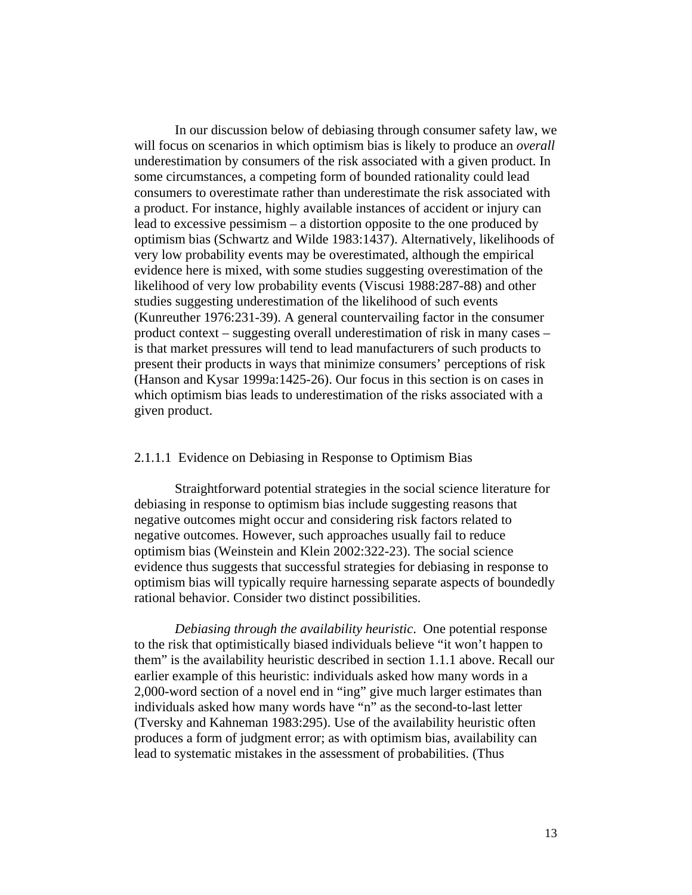In our discussion below of debiasing through consumer safety law, we will focus on scenarios in which optimism bias is likely to produce an *overall* underestimation by consumers of the risk associated with a given product. In some circumstances, a competing form of bounded rationality could lead consumers to overestimate rather than underestimate the risk associated with a product. For instance, highly available instances of accident or injury can lead to excessive pessimism – a distortion opposite to the one produced by optimism bias (Schwartz and Wilde 1983:1437). Alternatively, likelihoods of very low probability events may be overestimated, although the empirical evidence here is mixed, with some studies suggesting overestimation of the likelihood of very low probability events (Viscusi 1988:287-88) and other studies suggesting underestimation of the likelihood of such events (Kunreuther 1976:231-39). A general countervailing factor in the consumer product context – suggesting overall underestimation of risk in many cases – is that market pressures will tend to lead manufacturers of such products to present their products in ways that minimize consumers' perceptions of risk (Hanson and Kysar 1999a:1425-26). Our focus in this section is on cases in which optimism bias leads to underestimation of the risks associated with a given product.

#### 2.1.1.1 Evidence on Debiasing in Response to Optimism Bias

Straightforward potential strategies in the social science literature for debiasing in response to optimism bias include suggesting reasons that negative outcomes might occur and considering risk factors related to negative outcomes. However, such approaches usually fail to reduce optimism bias (Weinstein and Klein 2002:322-23). The social science evidence thus suggests that successful strategies for debiasing in response to optimism bias will typically require harnessing separate aspects of boundedly rational behavior. Consider two distinct possibilities.

*Debiasing through the availability heuristic*. One potential response to the risk that optimistically biased individuals believe "it won't happen to them" is the availability heuristic described in section 1.1.1 above. Recall our earlier example of this heuristic: individuals asked how many words in a 2,000-word section of a novel end in "ing" give much larger estimates than individuals asked how many words have "n" as the second-to-last letter (Tversky and Kahneman 1983:295). Use of the availability heuristic often produces a form of judgment error; as with optimism bias, availability can lead to systematic mistakes in the assessment of probabilities. (Thus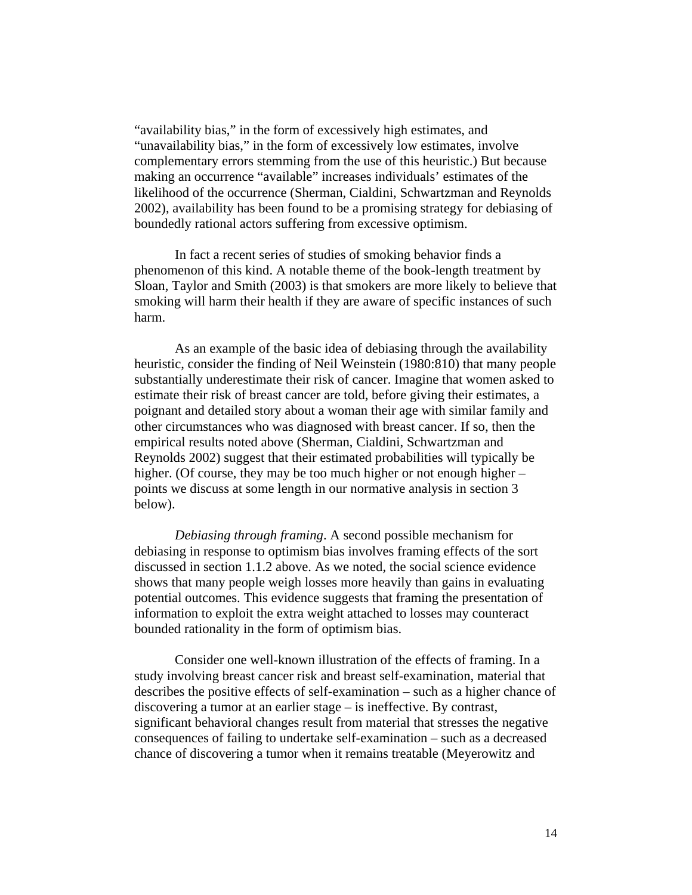"availability bias," in the form of excessively high estimates, and "unavailability bias," in the form of excessively low estimates, involve complementary errors stemming from the use of this heuristic.) But because making an occurrence "available" increases individuals' estimates of the likelihood of the occurrence (Sherman, Cialdini, Schwartzman and Reynolds 2002), availability has been found to be a promising strategy for debiasing of boundedly rational actors suffering from excessive optimism.

 In fact a recent series of studies of smoking behavior finds a phenomenon of this kind. A notable theme of the book-length treatment by Sloan, Taylor and Smith (2003) is that smokers are more likely to believe that smoking will harm their health if they are aware of specific instances of such harm.

As an example of the basic idea of debiasing through the availability heuristic, consider the finding of Neil Weinstein (1980:810) that many people substantially underestimate their risk of cancer. Imagine that women asked to estimate their risk of breast cancer are told, before giving their estimates, a poignant and detailed story about a woman their age with similar family and other circumstances who was diagnosed with breast cancer. If so, then the empirical results noted above (Sherman, Cialdini, Schwartzman and Reynolds 2002) suggest that their estimated probabilities will typically be higher. (Of course, they may be too much higher or not enough higher – points we discuss at some length in our normative analysis in section 3 below).

*Debiasing through framing*. A second possible mechanism for debiasing in response to optimism bias involves framing effects of the sort discussed in section 1.1.2 above. As we noted, the social science evidence shows that many people weigh losses more heavily than gains in evaluating potential outcomes. This evidence suggests that framing the presentation of information to exploit the extra weight attached to losses may counteract bounded rationality in the form of optimism bias.

Consider one well-known illustration of the effects of framing. In a study involving breast cancer risk and breast self-examination, material that describes the positive effects of self-examination – such as a higher chance of discovering a tumor at an earlier stage – is ineffective. By contrast, significant behavioral changes result from material that stresses the negative consequences of failing to undertake self-examination – such as a decreased chance of discovering a tumor when it remains treatable (Meyerowitz and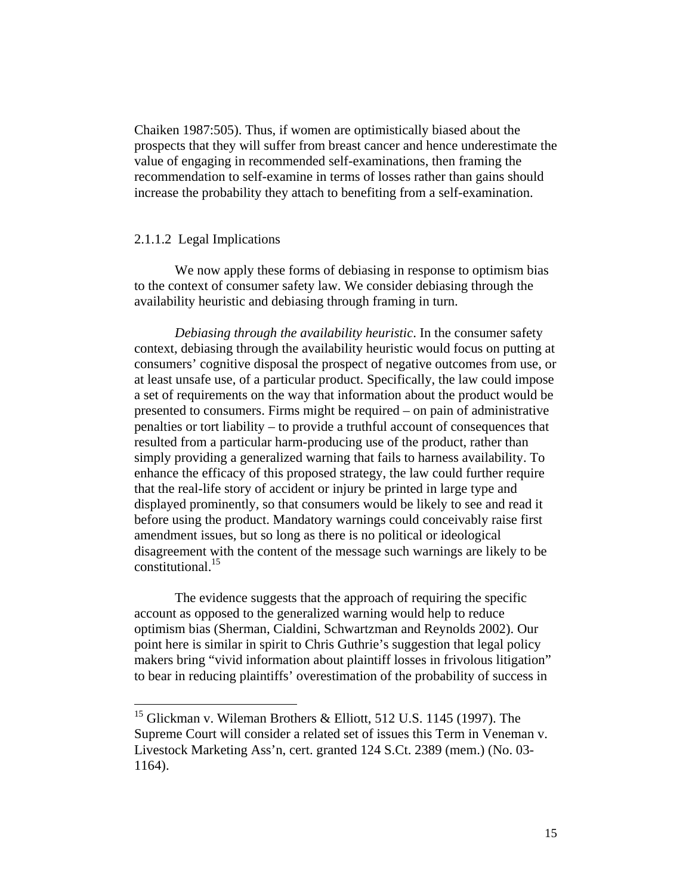Chaiken 1987:505). Thus, if women are optimistically biased about the prospects that they will suffer from breast cancer and hence underestimate the value of engaging in recommended self-examinations, then framing the recommendation to self-examine in terms of losses rather than gains should increase the probability they attach to benefiting from a self-examination.

#### 2.1.1.2 Legal Implications

1

We now apply these forms of debiasing in response to optimism bias to the context of consumer safety law. We consider debiasing through the availability heuristic and debiasing through framing in turn.

*Debiasing through the availability heuristic*. In the consumer safety context, debiasing through the availability heuristic would focus on putting at consumers' cognitive disposal the prospect of negative outcomes from use, or at least unsafe use, of a particular product. Specifically, the law could impose a set of requirements on the way that information about the product would be presented to consumers. Firms might be required – on pain of administrative penalties or tort liability – to provide a truthful account of consequences that resulted from a particular harm-producing use of the product, rather than simply providing a generalized warning that fails to harness availability. To enhance the efficacy of this proposed strategy, the law could further require that the real-life story of accident or injury be printed in large type and displayed prominently, so that consumers would be likely to see and read it before using the product. Mandatory warnings could conceivably raise first amendment issues, but so long as there is no political or ideological disagreement with the content of the message such warnings are likely to be constitutional.15

The evidence suggests that the approach of requiring the specific account as opposed to the generalized warning would help to reduce optimism bias (Sherman, Cialdini, Schwartzman and Reynolds 2002). Our point here is similar in spirit to Chris Guthrie's suggestion that legal policy makers bring "vivid information about plaintiff losses in frivolous litigation" to bear in reducing plaintiffs' overestimation of the probability of success in

<sup>&</sup>lt;sup>15</sup> Glickman v. Wileman Brothers & Elliott, 512 U.S. 1145 (1997). The Supreme Court will consider a related set of issues this Term in Veneman v. Livestock Marketing Ass'n, cert. granted 124 S.Ct. 2389 (mem.) (No. 03- 1164).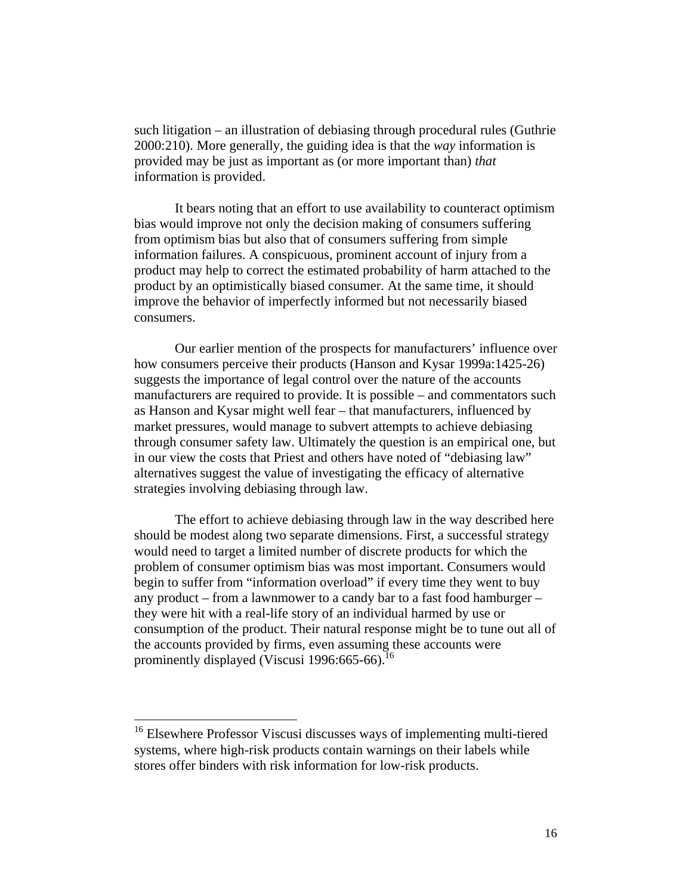such litigation – an illustration of debiasing through procedural rules (Guthrie 2000:210). More generally, the guiding idea is that the *way* information is provided may be just as important as (or more important than) *that* information is provided.

 It bears noting that an effort to use availability to counteract optimism bias would improve not only the decision making of consumers suffering from optimism bias but also that of consumers suffering from simple information failures. A conspicuous, prominent account of injury from a product may help to correct the estimated probability of harm attached to the product by an optimistically biased consumer. At the same time, it should improve the behavior of imperfectly informed but not necessarily biased consumers.

 Our earlier mention of the prospects for manufacturers' influence over how consumers perceive their products (Hanson and Kysar 1999a:1425-26) suggests the importance of legal control over the nature of the accounts manufacturers are required to provide. It is possible – and commentators such as Hanson and Kysar might well fear – that manufacturers, influenced by market pressures, would manage to subvert attempts to achieve debiasing through consumer safety law. Ultimately the question is an empirical one, but in our view the costs that Priest and others have noted of "debiasing law" alternatives suggest the value of investigating the efficacy of alternative strategies involving debiasing through law.

 The effort to achieve debiasing through law in the way described here should be modest along two separate dimensions. First, a successful strategy would need to target a limited number of discrete products for which the problem of consumer optimism bias was most important. Consumers would begin to suffer from "information overload" if every time they went to buy any product – from a lawnmower to a candy bar to a fast food hamburger – they were hit with a real-life story of an individual harmed by use or consumption of the product. Their natural response might be to tune out all of the accounts provided by firms, even assuming these accounts were prominently displayed (Viscusi 1996:665-66). $^{16}$ 

<sup>&</sup>lt;sup>16</sup> Elsewhere Professor Viscusi discusses ways of implementing multi-tiered systems, where high-risk products contain warnings on their labels while stores offer binders with risk information for low-risk products.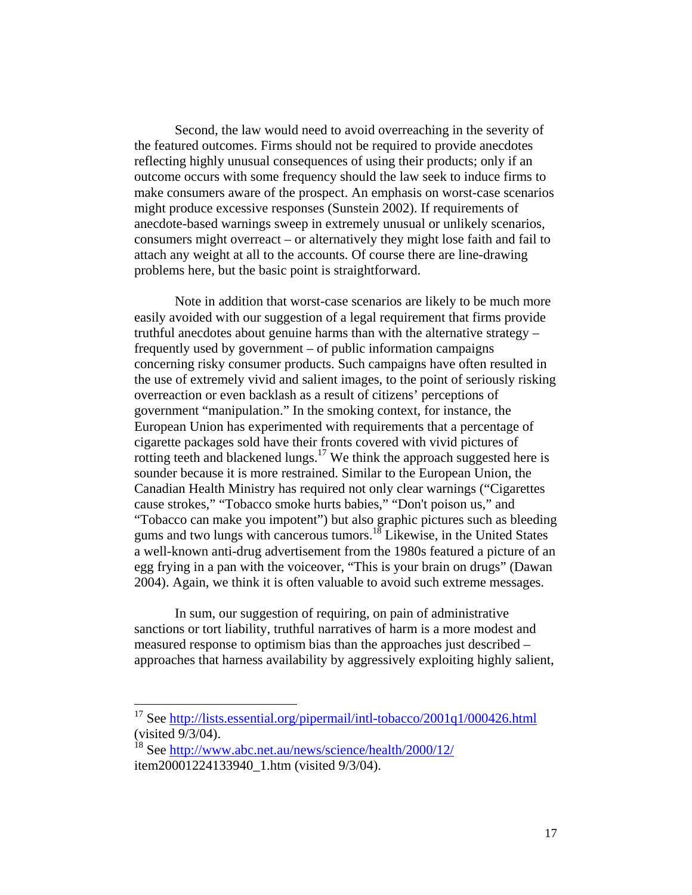Second, the law would need to avoid overreaching in the severity of the featured outcomes. Firms should not be required to provide anecdotes reflecting highly unusual consequences of using their products; only if an outcome occurs with some frequency should the law seek to induce firms to make consumers aware of the prospect. An emphasis on worst-case scenarios might produce excessive responses (Sunstein 2002). If requirements of anecdote-based warnings sweep in extremely unusual or unlikely scenarios, consumers might overreact – or alternatively they might lose faith and fail to attach any weight at all to the accounts. Of course there are line-drawing problems here, but the basic point is straightforward.

Note in addition that worst-case scenarios are likely to be much more easily avoided with our suggestion of a legal requirement that firms provide truthful anecdotes about genuine harms than with the alternative strategy – frequently used by government – of public information campaigns concerning risky consumer products. Such campaigns have often resulted in the use of extremely vivid and salient images, to the point of seriously risking overreaction or even backlash as a result of citizens' perceptions of government "manipulation." In the smoking context, for instance, the European Union has experimented with requirements that a percentage of cigarette packages sold have their fronts covered with vivid pictures of rotting teeth and blackened lungs.<sup>17</sup> We think the approach suggested here is sounder because it is more restrained. Similar to the European Union, the Canadian Health Ministry has required not only clear warnings ("Cigarettes cause strokes," "Tobacco smoke hurts babies," "Don't poison us," and "Tobacco can make you impotent") but also graphic pictures such as bleeding gums and two lungs with cancerous tumors.<sup>18</sup> Likewise, in the United States a well-known anti-drug advertisement from the 1980s featured a picture of an egg frying in a pan with the voiceover, "This is your brain on drugs" (Dawan 2004). Again, we think it is often valuable to avoid such extreme messages.

In sum, our suggestion of requiring, on pain of administrative sanctions or tort liability, truthful narratives of harm is a more modest and measured response to optimism bias than the approaches just described – approaches that harness availability by aggressively exploiting highly salient,

<sup>&</sup>lt;sup>17</sup> See http://lists.essential.org/pipermail/intl-tobacco/2001q1/000426.html (visited 9/3/04).

<sup>&</sup>lt;sup>18</sup> See http://www.abc.net.au/news/science/health/2000/12/ item20001224133940\_1.htm (visited 9/3/04).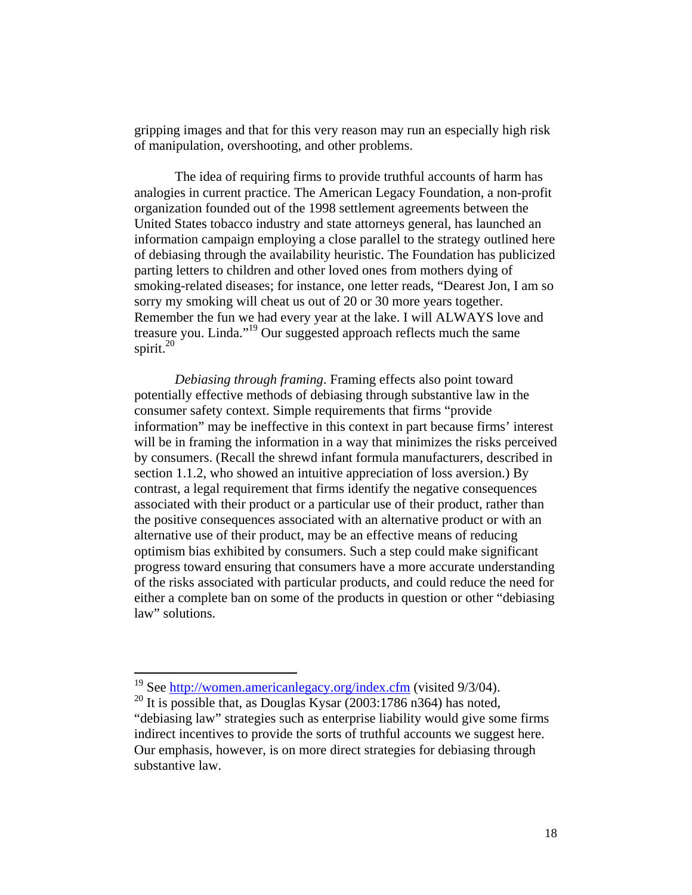gripping images and that for this very reason may run an especially high risk of manipulation, overshooting, and other problems.

 The idea of requiring firms to provide truthful accounts of harm has analogies in current practice. The American Legacy Foundation, a non-profit organization founded out of the 1998 settlement agreements between the United States tobacco industry and state attorneys general, has launched an information campaign employing a close parallel to the strategy outlined here of debiasing through the availability heuristic. The Foundation has publicized parting letters to children and other loved ones from mothers dying of smoking-related diseases; for instance, one letter reads, "Dearest Jon, I am so sorry my smoking will cheat us out of 20 or 30 more years together. Remember the fun we had every year at the lake. I will ALWAYS love and treasure you. Linda."<sup>19</sup> Our suggested approach reflects much the same spirit. $^{20}$ 

*Debiasing through framing*. Framing effects also point toward potentially effective methods of debiasing through substantive law in the consumer safety context. Simple requirements that firms "provide information" may be ineffective in this context in part because firms' interest will be in framing the information in a way that minimizes the risks perceived by consumers. (Recall the shrewd infant formula manufacturers, described in section 1.1.2, who showed an intuitive appreciation of loss aversion.) By contrast, a legal requirement that firms identify the negative consequences associated with their product or a particular use of their product, rather than the positive consequences associated with an alternative product or with an alternative use of their product, may be an effective means of reducing optimism bias exhibited by consumers. Such a step could make significant progress toward ensuring that consumers have a more accurate understanding of the risks associated with particular products, and could reduce the need for either a complete ban on some of the products in question or other "debiasing law" solutions.

<u>.</u>

<sup>&</sup>lt;sup>19</sup> See http://women.americanlegacy.org/index.cfm (visited 9/3/04).

<sup>&</sup>lt;sup>20</sup> It is possible that, as Douglas Kysar (2003:1786 n364) has noted, "debiasing law" strategies such as enterprise liability would give some firms indirect incentives to provide the sorts of truthful accounts we suggest here. Our emphasis, however, is on more direct strategies for debiasing through substantive law.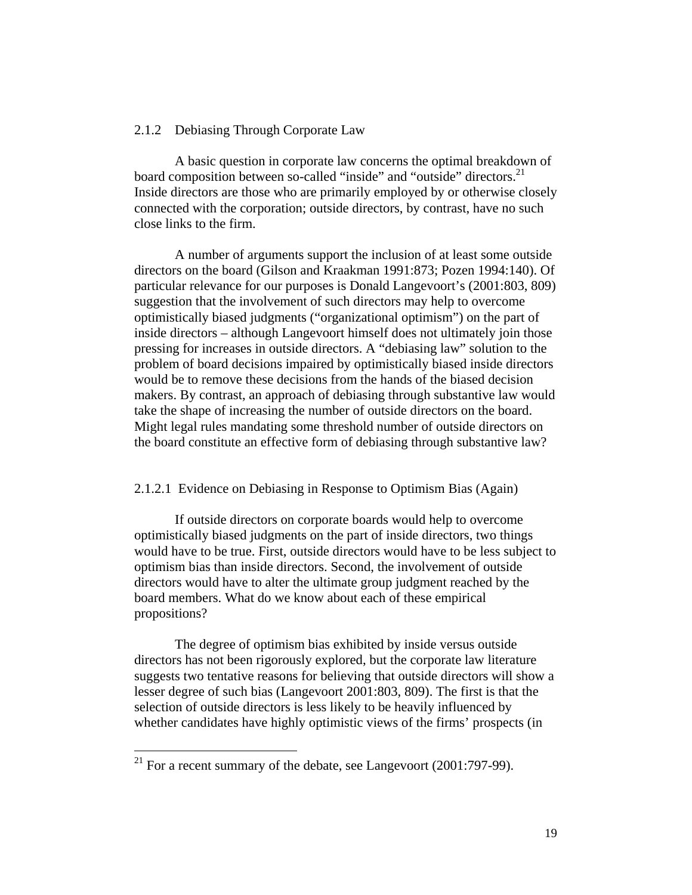#### 2.1.2 Debiasing Through Corporate Law

A basic question in corporate law concerns the optimal breakdown of board composition between so-called "inside" and "outside" directors.<sup>21</sup> Inside directors are those who are primarily employed by or otherwise closely connected with the corporation; outside directors, by contrast, have no such close links to the firm.

A number of arguments support the inclusion of at least some outside directors on the board (Gilson and Kraakman 1991:873; Pozen 1994:140). Of particular relevance for our purposes is Donald Langevoort's (2001:803, 809) suggestion that the involvement of such directors may help to overcome optimistically biased judgments ("organizational optimism") on the part of inside directors – although Langevoort himself does not ultimately join those pressing for increases in outside directors. A "debiasing law" solution to the problem of board decisions impaired by optimistically biased inside directors would be to remove these decisions from the hands of the biased decision makers. By contrast, an approach of debiasing through substantive law would take the shape of increasing the number of outside directors on the board. Might legal rules mandating some threshold number of outside directors on the board constitute an effective form of debiasing through substantive law?

#### 2.1.2.1 Evidence on Debiasing in Response to Optimism Bias (Again)

If outside directors on corporate boards would help to overcome optimistically biased judgments on the part of inside directors, two things would have to be true. First, outside directors would have to be less subject to optimism bias than inside directors. Second, the involvement of outside directors would have to alter the ultimate group judgment reached by the board members. What do we know about each of these empirical propositions?

 The degree of optimism bias exhibited by inside versus outside directors has not been rigorously explored, but the corporate law literature suggests two tentative reasons for believing that outside directors will show a lesser degree of such bias (Langevoort 2001:803, 809). The first is that the selection of outside directors is less likely to be heavily influenced by whether candidates have highly optimistic views of the firms' prospects (in

<u>.</u>

 $^{21}$  For a recent summary of the debate, see Langevoort (2001:797-99).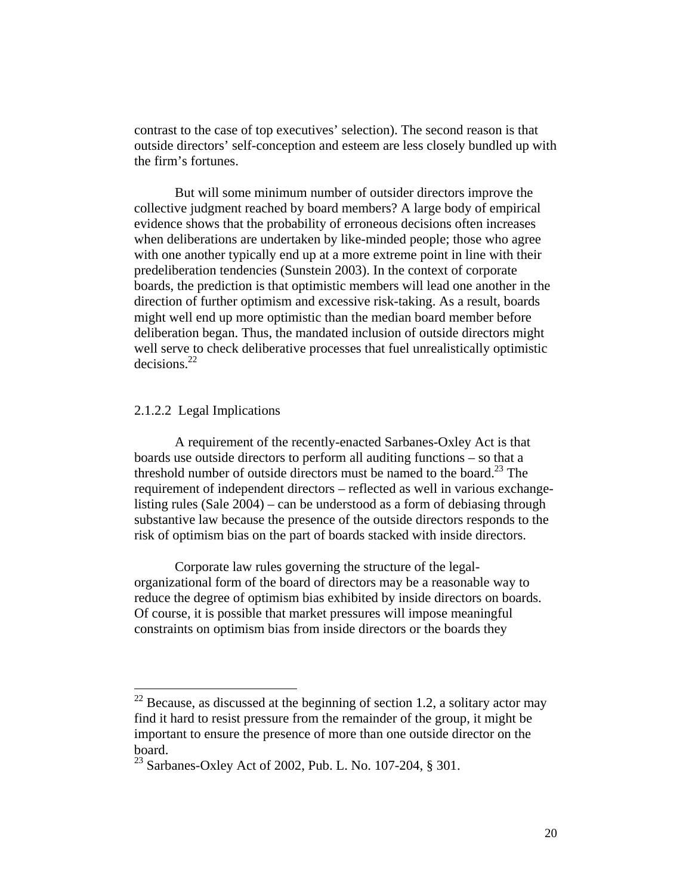contrast to the case of top executives' selection). The second reason is that outside directors' self-conception and esteem are less closely bundled up with the firm's fortunes.

But will some minimum number of outsider directors improve the collective judgment reached by board members? A large body of empirical evidence shows that the probability of erroneous decisions often increases when deliberations are undertaken by like-minded people; those who agree with one another typically end up at a more extreme point in line with their predeliberation tendencies (Sunstein 2003). In the context of corporate boards, the prediction is that optimistic members will lead one another in the direction of further optimism and excessive risk-taking. As a result, boards might well end up more optimistic than the median board member before deliberation began. Thus, the mandated inclusion of outside directors might well serve to check deliberative processes that fuel unrealistically optimistic  $decisions.<sup>22</sup>$ 

#### 2.1.2.2 Legal Implications

1

 A requirement of the recently-enacted Sarbanes-Oxley Act is that boards use outside directors to perform all auditing functions – so that a threshold number of outside directors must be named to the board.<sup>23</sup> The requirement of independent directors – reflected as well in various exchangelisting rules (Sale 2004) – can be understood as a form of debiasing through substantive law because the presence of the outside directors responds to the risk of optimism bias on the part of boards stacked with inside directors.

 Corporate law rules governing the structure of the legalorganizational form of the board of directors may be a reasonable way to reduce the degree of optimism bias exhibited by inside directors on boards. Of course, it is possible that market pressures will impose meaningful constraints on optimism bias from inside directors or the boards they

 $22$  Because, as discussed at the beginning of section 1.2, a solitary actor may find it hard to resist pressure from the remainder of the group, it might be important to ensure the presence of more than one outside director on the board.

<sup>23</sup> Sarbanes-Oxley Act of 2002, Pub. L. No. 107-204, § 301.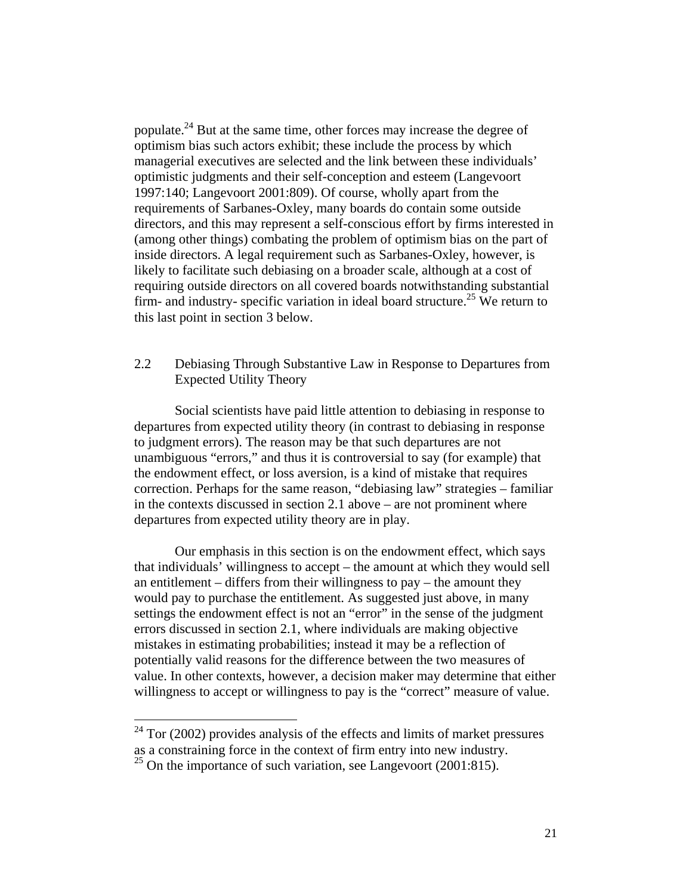populate.24 But at the same time, other forces may increase the degree of optimism bias such actors exhibit; these include the process by which managerial executives are selected and the link between these individuals' optimistic judgments and their self-conception and esteem (Langevoort 1997:140; Langevoort 2001:809). Of course, wholly apart from the requirements of Sarbanes-Oxley, many boards do contain some outside directors, and this may represent a self-conscious effort by firms interested in (among other things) combating the problem of optimism bias on the part of inside directors. A legal requirement such as Sarbanes-Oxley, however, is likely to facilitate such debiasing on a broader scale, although at a cost of requiring outside directors on all covered boards notwithstanding substantial firm- and industry- specific variation in ideal board structure.<sup>25</sup> We return to this last point in section 3 below.

#### 2.2 Debiasing Through Substantive Law in Response to Departures from Expected Utility Theory

Social scientists have paid little attention to debiasing in response to departures from expected utility theory (in contrast to debiasing in response to judgment errors). The reason may be that such departures are not unambiguous "errors," and thus it is controversial to say (for example) that the endowment effect, or loss aversion, is a kind of mistake that requires correction. Perhaps for the same reason, "debiasing law" strategies – familiar in the contexts discussed in section 2.1 above – are not prominent where departures from expected utility theory are in play.

Our emphasis in this section is on the endowment effect, which says that individuals' willingness to accept – the amount at which they would sell an entitlement – differs from their willingness to pay – the amount they would pay to purchase the entitlement. As suggested just above, in many settings the endowment effect is not an "error" in the sense of the judgment errors discussed in section 2.1, where individuals are making objective mistakes in estimating probabilities; instead it may be a reflection of potentially valid reasons for the difference between the two measures of value. In other contexts, however, a decision maker may determine that either willingness to accept or willingness to pay is the "correct" measure of value.

 $24$  Tor (2002) provides analysis of the effects and limits of market pressures as a constraining force in the context of firm entry into new industry.

<sup>&</sup>lt;sup>25</sup> On the importance of such variation, see Langevoort (2001:815).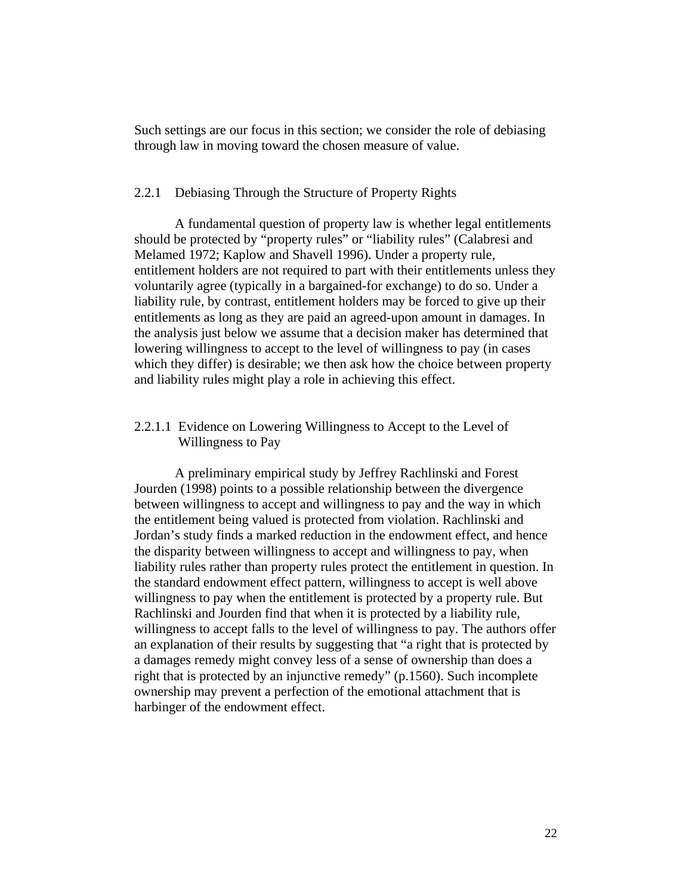Such settings are our focus in this section; we consider the role of debiasing through law in moving toward the chosen measure of value.

#### 2.2.1 Debiasing Through the Structure of Property Rights

 A fundamental question of property law is whether legal entitlements should be protected by "property rules" or "liability rules" (Calabresi and Melamed 1972; Kaplow and Shavell 1996). Under a property rule, entitlement holders are not required to part with their entitlements unless they voluntarily agree (typically in a bargained-for exchange) to do so. Under a liability rule, by contrast, entitlement holders may be forced to give up their entitlements as long as they are paid an agreed-upon amount in damages. In the analysis just below we assume that a decision maker has determined that lowering willingness to accept to the level of willingness to pay (in cases which they differ) is desirable; we then ask how the choice between property and liability rules might play a role in achieving this effect.

#### 2.2.1.1 Evidence on Lowering Willingness to Accept to the Level of Willingness to Pay

A preliminary empirical study by Jeffrey Rachlinski and Forest Jourden (1998) points to a possible relationship between the divergence between willingness to accept and willingness to pay and the way in which the entitlement being valued is protected from violation. Rachlinski and Jordan's study finds a marked reduction in the endowment effect, and hence the disparity between willingness to accept and willingness to pay, when liability rules rather than property rules protect the entitlement in question. In the standard endowment effect pattern, willingness to accept is well above willingness to pay when the entitlement is protected by a property rule. But Rachlinski and Jourden find that when it is protected by a liability rule, willingness to accept falls to the level of willingness to pay. The authors offer an explanation of their results by suggesting that "a right that is protected by a damages remedy might convey less of a sense of ownership than does a right that is protected by an injunctive remedy" (p.1560). Such incomplete ownership may prevent a perfection of the emotional attachment that is harbinger of the endowment effect.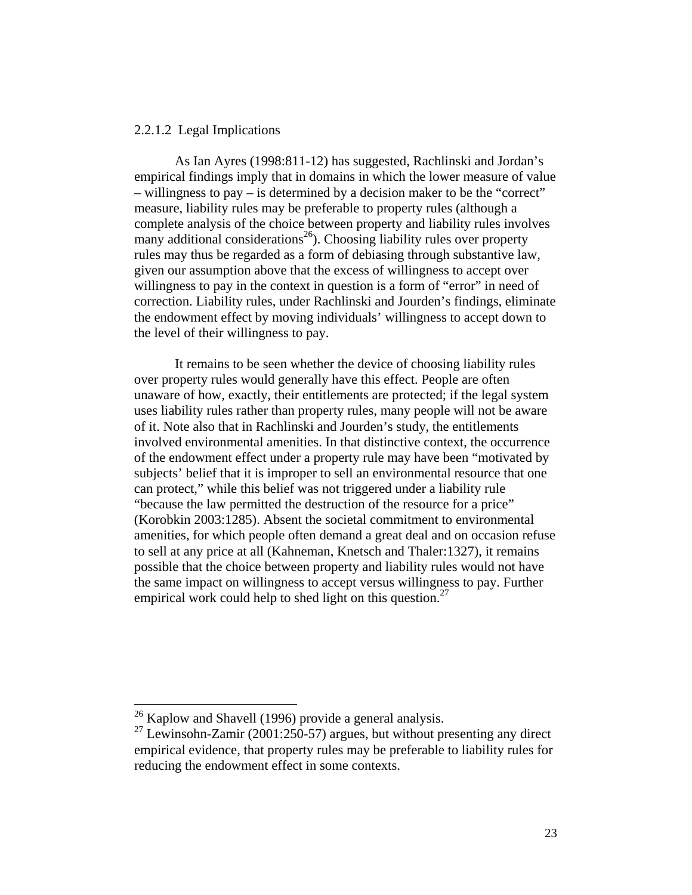#### 2.2.1.2 Legal Implications

As Ian Ayres (1998:811-12) has suggested, Rachlinski and Jordan's empirical findings imply that in domains in which the lower measure of value – willingness to pay – is determined by a decision maker to be the "correct" measure, liability rules may be preferable to property rules (although a complete analysis of the choice between property and liability rules involves many additional considerations<sup>26</sup>). Choosing liability rules over property rules may thus be regarded as a form of debiasing through substantive law, given our assumption above that the excess of willingness to accept over willingness to pay in the context in question is a form of "error" in need of correction. Liability rules, under Rachlinski and Jourden's findings, eliminate the endowment effect by moving individuals' willingness to accept down to the level of their willingness to pay.

It remains to be seen whether the device of choosing liability rules over property rules would generally have this effect. People are often unaware of how, exactly, their entitlements are protected; if the legal system uses liability rules rather than property rules, many people will not be aware of it. Note also that in Rachlinski and Jourden's study, the entitlements involved environmental amenities. In that distinctive context, the occurrence of the endowment effect under a property rule may have been "motivated by subjects' belief that it is improper to sell an environmental resource that one can protect," while this belief was not triggered under a liability rule "because the law permitted the destruction of the resource for a price" (Korobkin 2003:1285). Absent the societal commitment to environmental amenities, for which people often demand a great deal and on occasion refuse to sell at any price at all (Kahneman, Knetsch and Thaler:1327), it remains possible that the choice between property and liability rules would not have the same impact on willingness to accept versus willingness to pay. Further empirical work could help to shed light on this question.<sup>27</sup>

 $26$  Kaplow and Shavell (1996) provide a general analysis.

 $^{27}$  Lewinsohn-Zamir (2001:250-57) argues, but without presenting any direct empirical evidence, that property rules may be preferable to liability rules for reducing the endowment effect in some contexts.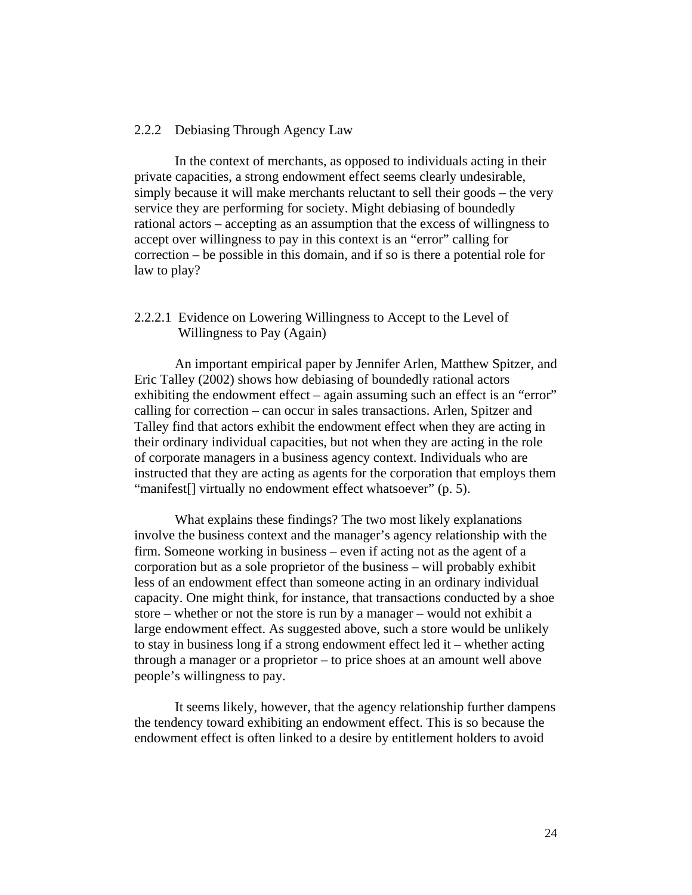#### 2.2.2 Debiasing Through Agency Law

 In the context of merchants, as opposed to individuals acting in their private capacities, a strong endowment effect seems clearly undesirable, simply because it will make merchants reluctant to sell their goods – the very service they are performing for society. Might debiasing of boundedly rational actors – accepting as an assumption that the excess of willingness to accept over willingness to pay in this context is an "error" calling for correction – be possible in this domain, and if so is there a potential role for law to play?

#### 2.2.2.1 Evidence on Lowering Willingness to Accept to the Level of Willingness to Pay (Again)

An important empirical paper by Jennifer Arlen, Matthew Spitzer, and Eric Talley (2002) shows how debiasing of boundedly rational actors exhibiting the endowment effect – again assuming such an effect is an "error" calling for correction – can occur in sales transactions. Arlen, Spitzer and Talley find that actors exhibit the endowment effect when they are acting in their ordinary individual capacities, but not when they are acting in the role of corporate managers in a business agency context. Individuals who are instructed that they are acting as agents for the corporation that employs them "manifest[] virtually no endowment effect whatsoever" (p. 5).

 What explains these findings? The two most likely explanations involve the business context and the manager's agency relationship with the firm. Someone working in business – even if acting not as the agent of a corporation but as a sole proprietor of the business – will probably exhibit less of an endowment effect than someone acting in an ordinary individual capacity. One might think, for instance, that transactions conducted by a shoe store – whether or not the store is run by a manager – would not exhibit a large endowment effect. As suggested above, such a store would be unlikely to stay in business long if a strong endowment effect led it – whether acting through a manager or a proprietor – to price shoes at an amount well above people's willingness to pay.

It seems likely, however, that the agency relationship further dampens the tendency toward exhibiting an endowment effect. This is so because the endowment effect is often linked to a desire by entitlement holders to avoid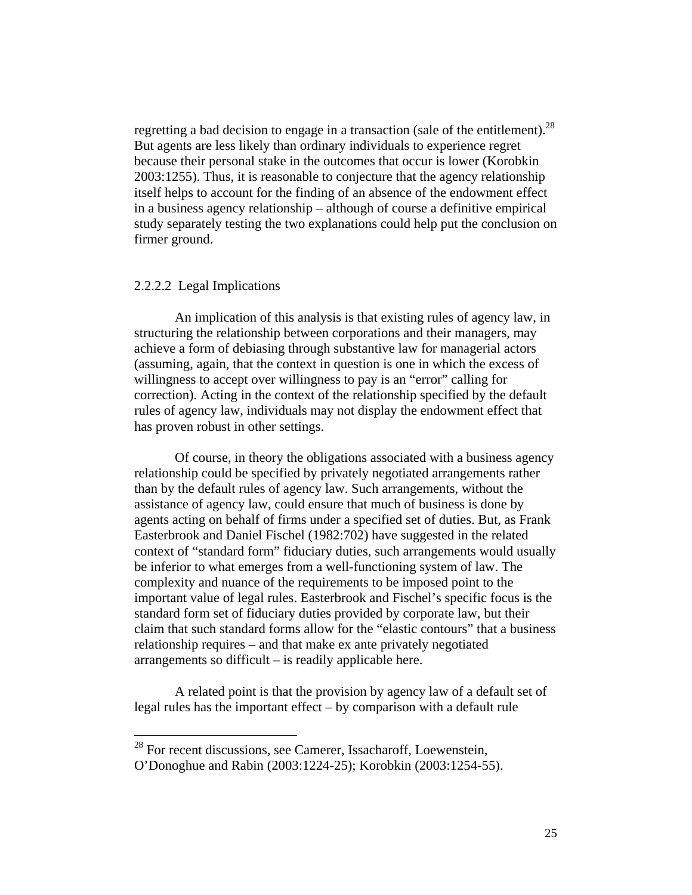regretting a bad decision to engage in a transaction (sale of the entitlement).<sup>28</sup> But agents are less likely than ordinary individuals to experience regret because their personal stake in the outcomes that occur is lower (Korobkin 2003:1255). Thus, it is reasonable to conjecture that the agency relationship itself helps to account for the finding of an absence of the endowment effect in a business agency relationship – although of course a definitive empirical study separately testing the two explanations could help put the conclusion on firmer ground.

#### 2.2.2.2 Legal Implications

1

 An implication of this analysis is that existing rules of agency law, in structuring the relationship between corporations and their managers, may achieve a form of debiasing through substantive law for managerial actors (assuming, again, that the context in question is one in which the excess of willingness to accept over willingness to pay is an "error" calling for correction). Acting in the context of the relationship specified by the default rules of agency law, individuals may not display the endowment effect that has proven robust in other settings.

 Of course, in theory the obligations associated with a business agency relationship could be specified by privately negotiated arrangements rather than by the default rules of agency law. Such arrangements, without the assistance of agency law, could ensure that much of business is done by agents acting on behalf of firms under a specified set of duties. But, as Frank Easterbrook and Daniel Fischel (1982:702) have suggested in the related context of "standard form" fiduciary duties, such arrangements would usually be inferior to what emerges from a well-functioning system of law. The complexity and nuance of the requirements to be imposed point to the important value of legal rules. Easterbrook and Fischel's specific focus is the standard form set of fiduciary duties provided by corporate law, but their claim that such standard forms allow for the "elastic contours" that a business relationship requires – and that make ex ante privately negotiated arrangements so difficult – is readily applicable here.

A related point is that the provision by agency law of a default set of legal rules has the important effect – by comparison with a default rule

 $28$  For recent discussions, see Camerer, Issacharoff, Loewenstein,

O'Donoghue and Rabin (2003:1224-25); Korobkin (2003:1254-55).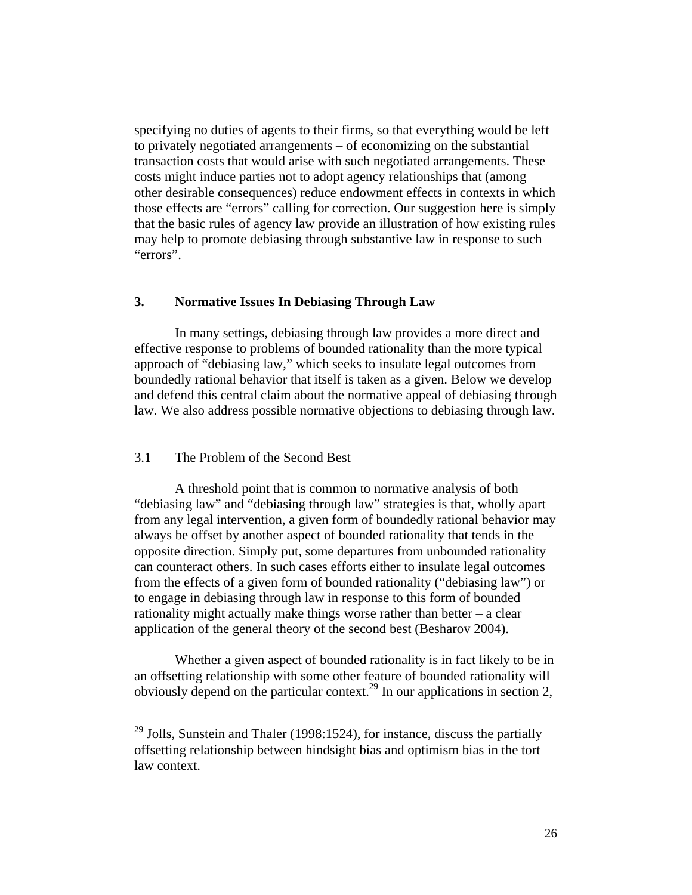specifying no duties of agents to their firms, so that everything would be left to privately negotiated arrangements – of economizing on the substantial transaction costs that would arise with such negotiated arrangements. These costs might induce parties not to adopt agency relationships that (among other desirable consequences) reduce endowment effects in contexts in which those effects are "errors" calling for correction. Our suggestion here is simply that the basic rules of agency law provide an illustration of how existing rules may help to promote debiasing through substantive law in response to such "errors".

#### **3. Normative Issues In Debiasing Through Law**

In many settings, debiasing through law provides a more direct and effective response to problems of bounded rationality than the more typical approach of "debiasing law," which seeks to insulate legal outcomes from boundedly rational behavior that itself is taken as a given. Below we develop and defend this central claim about the normative appeal of debiasing through law. We also address possible normative objections to debiasing through law.

#### 3.1 The Problem of the Second Best

1

A threshold point that is common to normative analysis of both "debiasing law" and "debiasing through law" strategies is that, wholly apart from any legal intervention, a given form of boundedly rational behavior may always be offset by another aspect of bounded rationality that tends in the opposite direction. Simply put, some departures from unbounded rationality can counteract others. In such cases efforts either to insulate legal outcomes from the effects of a given form of bounded rationality ("debiasing law") or to engage in debiasing through law in response to this form of bounded rationality might actually make things worse rather than better – a clear application of the general theory of the second best (Besharov 2004).

Whether a given aspect of bounded rationality is in fact likely to be in an offsetting relationship with some other feature of bounded rationality will obviously depend on the particular context.<sup>29</sup> In our applications in section 2,

 $29$  Jolls, Sunstein and Thaler (1998:1524), for instance, discuss the partially offsetting relationship between hindsight bias and optimism bias in the tort law context.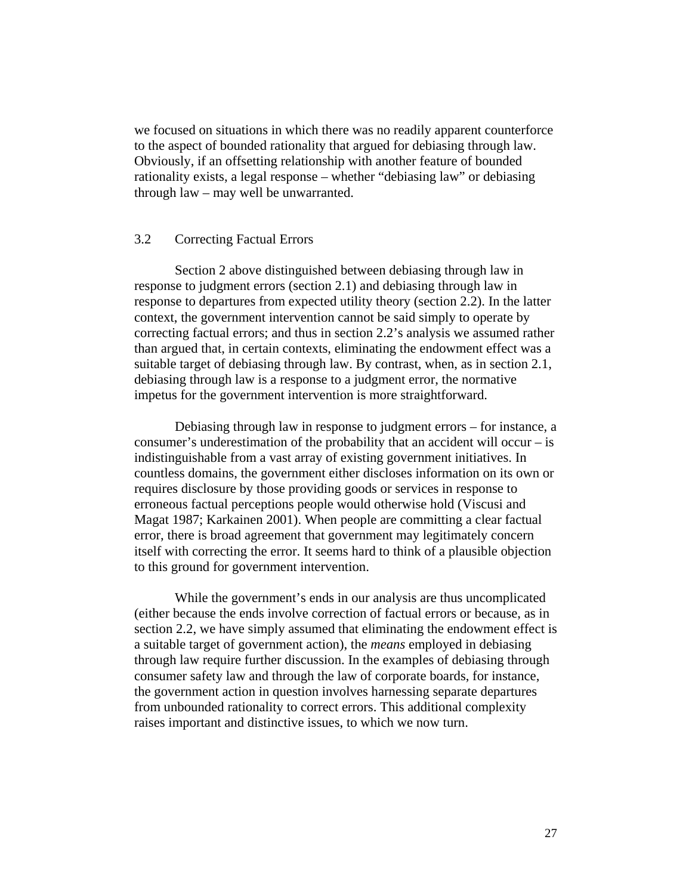we focused on situations in which there was no readily apparent counterforce to the aspect of bounded rationality that argued for debiasing through law. Obviously, if an offsetting relationship with another feature of bounded rationality exists, a legal response – whether "debiasing law" or debiasing through law – may well be unwarranted.

#### 3.2 Correcting Factual Errors

Section 2 above distinguished between debiasing through law in response to judgment errors (section 2.1) and debiasing through law in response to departures from expected utility theory (section 2.2). In the latter context, the government intervention cannot be said simply to operate by correcting factual errors; and thus in section 2.2's analysis we assumed rather than argued that, in certain contexts, eliminating the endowment effect was a suitable target of debiasing through law. By contrast, when, as in section 2.1, debiasing through law is a response to a judgment error, the normative impetus for the government intervention is more straightforward.

Debiasing through law in response to judgment errors – for instance, a consumer's underestimation of the probability that an accident will occur – is indistinguishable from a vast array of existing government initiatives. In countless domains, the government either discloses information on its own or requires disclosure by those providing goods or services in response to erroneous factual perceptions people would otherwise hold (Viscusi and Magat 1987; Karkainen 2001). When people are committing a clear factual error, there is broad agreement that government may legitimately concern itself with correcting the error. It seems hard to think of a plausible objection to this ground for government intervention.

While the government's ends in our analysis are thus uncomplicated (either because the ends involve correction of factual errors or because, as in section 2.2, we have simply assumed that eliminating the endowment effect is a suitable target of government action), the *means* employed in debiasing through law require further discussion. In the examples of debiasing through consumer safety law and through the law of corporate boards, for instance, the government action in question involves harnessing separate departures from unbounded rationality to correct errors. This additional complexity raises important and distinctive issues, to which we now turn.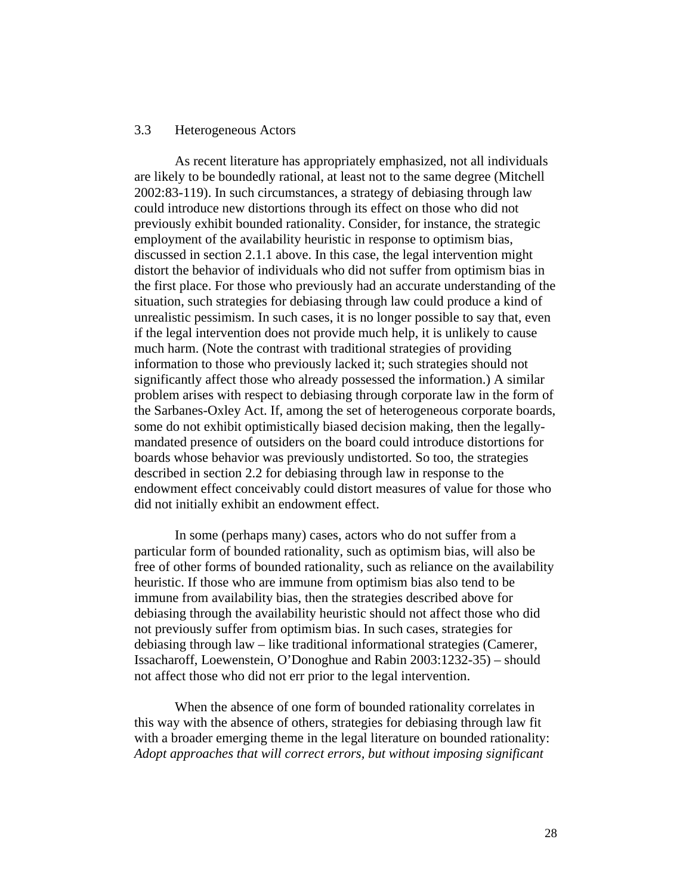#### 3.3 Heterogeneous Actors

As recent literature has appropriately emphasized, not all individuals are likely to be boundedly rational, at least not to the same degree (Mitchell 2002:83-119). In such circumstances, a strategy of debiasing through law could introduce new distortions through its effect on those who did not previously exhibit bounded rationality. Consider, for instance, the strategic employment of the availability heuristic in response to optimism bias, discussed in section 2.1.1 above. In this case, the legal intervention might distort the behavior of individuals who did not suffer from optimism bias in the first place. For those who previously had an accurate understanding of the situation, such strategies for debiasing through law could produce a kind of unrealistic pessimism. In such cases, it is no longer possible to say that, even if the legal intervention does not provide much help, it is unlikely to cause much harm. (Note the contrast with traditional strategies of providing information to those who previously lacked it; such strategies should not significantly affect those who already possessed the information.) A similar problem arises with respect to debiasing through corporate law in the form of the Sarbanes-Oxley Act. If, among the set of heterogeneous corporate boards, some do not exhibit optimistically biased decision making, then the legallymandated presence of outsiders on the board could introduce distortions for boards whose behavior was previously undistorted. So too, the strategies described in section 2.2 for debiasing through law in response to the endowment effect conceivably could distort measures of value for those who did not initially exhibit an endowment effect.

In some (perhaps many) cases, actors who do not suffer from a particular form of bounded rationality, such as optimism bias, will also be free of other forms of bounded rationality, such as reliance on the availability heuristic. If those who are immune from optimism bias also tend to be immune from availability bias, then the strategies described above for debiasing through the availability heuristic should not affect those who did not previously suffer from optimism bias. In such cases, strategies for debiasing through law – like traditional informational strategies (Camerer, Issacharoff, Loewenstein, O'Donoghue and Rabin 2003:1232-35) – should not affect those who did not err prior to the legal intervention.

When the absence of one form of bounded rationality correlates in this way with the absence of others, strategies for debiasing through law fit with a broader emerging theme in the legal literature on bounded rationality: *Adopt approaches that will correct errors, but without imposing significant*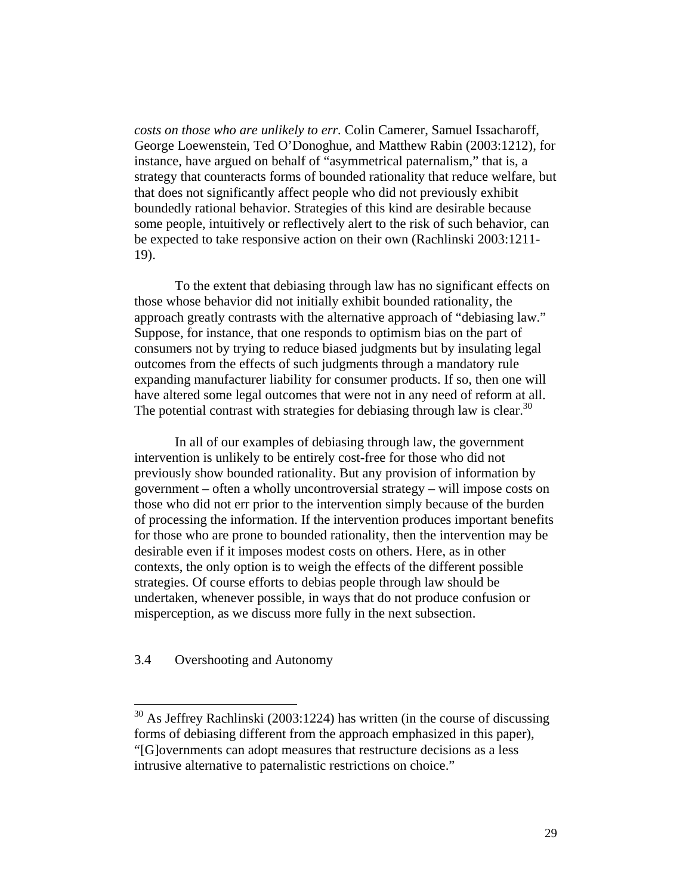*costs on those who are unlikely to err.* Colin Camerer, Samuel Issacharoff, George Loewenstein, Ted O'Donoghue, and Matthew Rabin (2003:1212), for instance, have argued on behalf of "asymmetrical paternalism," that is, a strategy that counteracts forms of bounded rationality that reduce welfare, but that does not significantly affect people who did not previously exhibit boundedly rational behavior. Strategies of this kind are desirable because some people, intuitively or reflectively alert to the risk of such behavior, can be expected to take responsive action on their own (Rachlinski 2003:1211- 19).

To the extent that debiasing through law has no significant effects on those whose behavior did not initially exhibit bounded rationality, the approach greatly contrasts with the alternative approach of "debiasing law." Suppose, for instance, that one responds to optimism bias on the part of consumers not by trying to reduce biased judgments but by insulating legal outcomes from the effects of such judgments through a mandatory rule expanding manufacturer liability for consumer products. If so, then one will have altered some legal outcomes that were not in any need of reform at all. The potential contrast with strategies for debiasing through law is clear.<sup>30</sup>

In all of our examples of debiasing through law, the government intervention is unlikely to be entirely cost-free for those who did not previously show bounded rationality. But any provision of information by government – often a wholly uncontroversial strategy – will impose costs on those who did not err prior to the intervention simply because of the burden of processing the information. If the intervention produces important benefits for those who are prone to bounded rationality, then the intervention may be desirable even if it imposes modest costs on others. Here, as in other contexts, the only option is to weigh the effects of the different possible strategies. Of course efforts to debias people through law should be undertaken, whenever possible, in ways that do not produce confusion or misperception, as we discuss more fully in the next subsection.

3.4 Overshooting and Autonomy

 $30$  As Jeffrey Rachlinski (2003:1224) has written (in the course of discussing forms of debiasing different from the approach emphasized in this paper), "[G]overnments can adopt measures that restructure decisions as a less intrusive alternative to paternalistic restrictions on choice."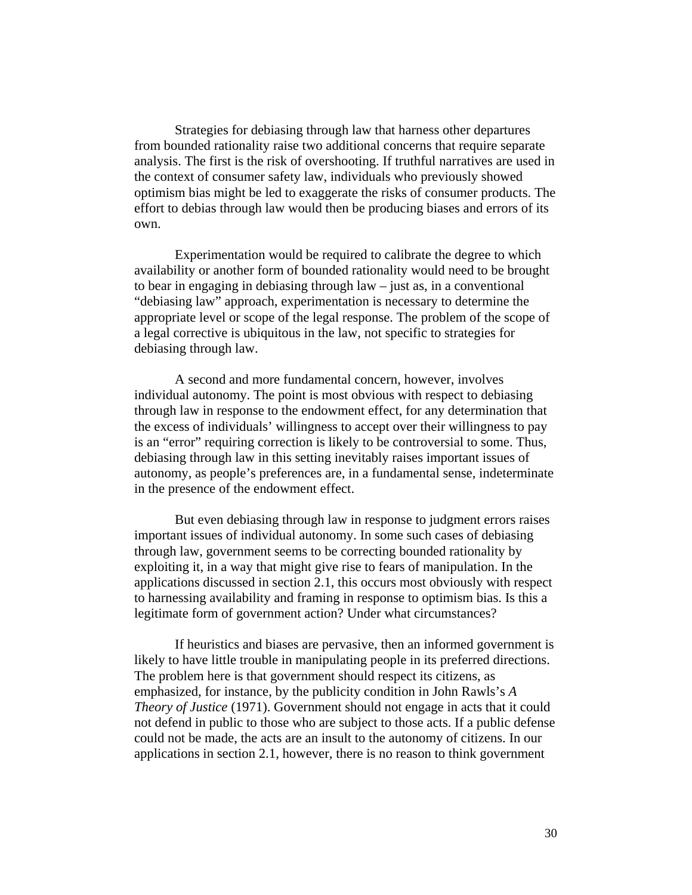Strategies for debiasing through law that harness other departures from bounded rationality raise two additional concerns that require separate analysis. The first is the risk of overshooting. If truthful narratives are used in the context of consumer safety law, individuals who previously showed optimism bias might be led to exaggerate the risks of consumer products. The effort to debias through law would then be producing biases and errors of its own.

Experimentation would be required to calibrate the degree to which availability or another form of bounded rationality would need to be brought to bear in engaging in debiasing through law – just as, in a conventional "debiasing law" approach, experimentation is necessary to determine the appropriate level or scope of the legal response. The problem of the scope of a legal corrective is ubiquitous in the law, not specific to strategies for debiasing through law.

A second and more fundamental concern, however, involves individual autonomy. The point is most obvious with respect to debiasing through law in response to the endowment effect, for any determination that the excess of individuals' willingness to accept over their willingness to pay is an "error" requiring correction is likely to be controversial to some. Thus, debiasing through law in this setting inevitably raises important issues of autonomy, as people's preferences are, in a fundamental sense, indeterminate in the presence of the endowment effect.

But even debiasing through law in response to judgment errors raises important issues of individual autonomy. In some such cases of debiasing through law, government seems to be correcting bounded rationality by exploiting it, in a way that might give rise to fears of manipulation. In the applications discussed in section 2.1, this occurs most obviously with respect to harnessing availability and framing in response to optimism bias. Is this a legitimate form of government action? Under what circumstances?

If heuristics and biases are pervasive, then an informed government is likely to have little trouble in manipulating people in its preferred directions. The problem here is that government should respect its citizens, as emphasized, for instance, by the publicity condition in John Rawls's *A Theory of Justice* (1971). Government should not engage in acts that it could not defend in public to those who are subject to those acts. If a public defense could not be made, the acts are an insult to the autonomy of citizens. In our applications in section 2.1, however, there is no reason to think government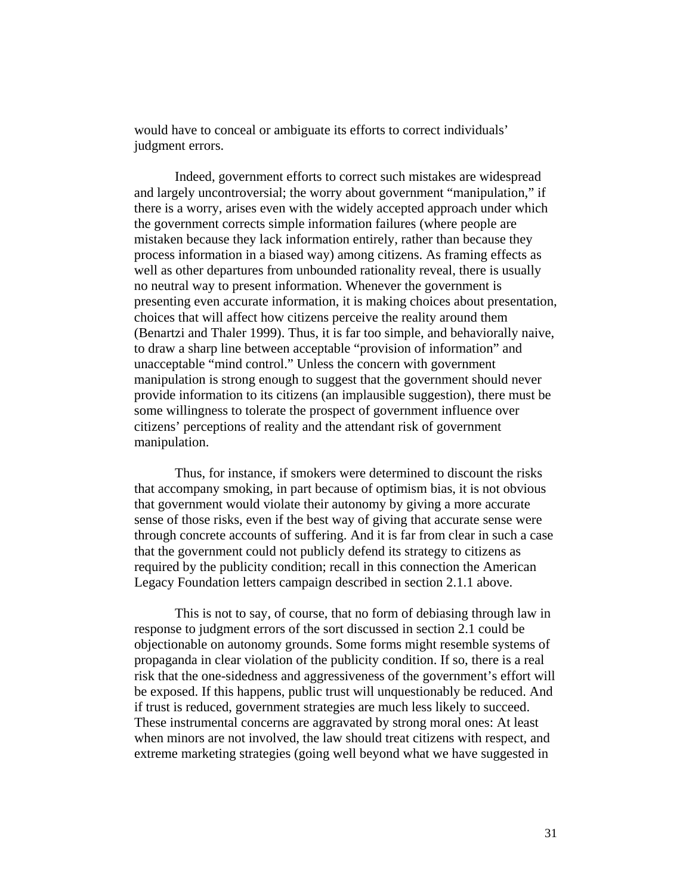would have to conceal or ambiguate its efforts to correct individuals' judgment errors.

Indeed, government efforts to correct such mistakes are widespread and largely uncontroversial; the worry about government "manipulation," if there is a worry, arises even with the widely accepted approach under which the government corrects simple information failures (where people are mistaken because they lack information entirely, rather than because they process information in a biased way) among citizens. As framing effects as well as other departures from unbounded rationality reveal, there is usually no neutral way to present information. Whenever the government is presenting even accurate information, it is making choices about presentation, choices that will affect how citizens perceive the reality around them (Benartzi and Thaler 1999). Thus, it is far too simple, and behaviorally naive, to draw a sharp line between acceptable "provision of information" and unacceptable "mind control." Unless the concern with government manipulation is strong enough to suggest that the government should never provide information to its citizens (an implausible suggestion), there must be some willingness to tolerate the prospect of government influence over citizens' perceptions of reality and the attendant risk of government manipulation.

Thus, for instance, if smokers were determined to discount the risks that accompany smoking, in part because of optimism bias, it is not obvious that government would violate their autonomy by giving a more accurate sense of those risks, even if the best way of giving that accurate sense were through concrete accounts of suffering. And it is far from clear in such a case that the government could not publicly defend its strategy to citizens as required by the publicity condition; recall in this connection the American Legacy Foundation letters campaign described in section 2.1.1 above.

This is not to say, of course, that no form of debiasing through law in response to judgment errors of the sort discussed in section 2.1 could be objectionable on autonomy grounds. Some forms might resemble systems of propaganda in clear violation of the publicity condition. If so, there is a real risk that the one-sidedness and aggressiveness of the government's effort will be exposed. If this happens, public trust will unquestionably be reduced. And if trust is reduced, government strategies are much less likely to succeed. These instrumental concerns are aggravated by strong moral ones: At least when minors are not involved, the law should treat citizens with respect, and extreme marketing strategies (going well beyond what we have suggested in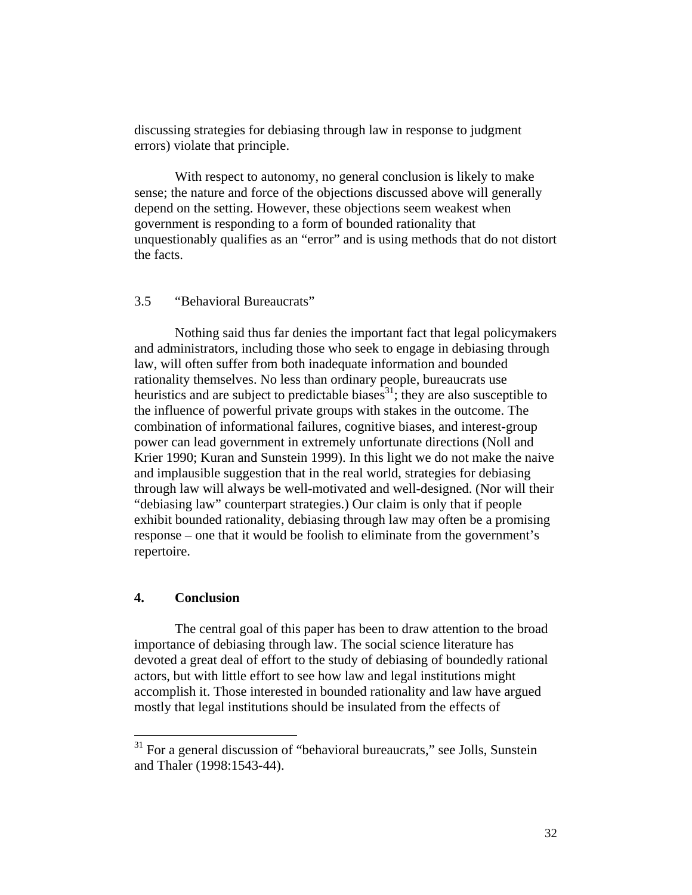discussing strategies for debiasing through law in response to judgment errors) violate that principle.

With respect to autonomy, no general conclusion is likely to make sense; the nature and force of the objections discussed above will generally depend on the setting. However, these objections seem weakest when government is responding to a form of bounded rationality that unquestionably qualifies as an "error" and is using methods that do not distort the facts.

#### 3.5 "Behavioral Bureaucrats"

Nothing said thus far denies the important fact that legal policymakers and administrators, including those who seek to engage in debiasing through law, will often suffer from both inadequate information and bounded rationality themselves. No less than ordinary people, bureaucrats use heuristics and are subject to predictable biases<sup>31</sup>; they are also susceptible to the influence of powerful private groups with stakes in the outcome. The combination of informational failures, cognitive biases, and interest-group power can lead government in extremely unfortunate directions (Noll and Krier 1990; Kuran and Sunstein 1999). In this light we do not make the naive and implausible suggestion that in the real world, strategies for debiasing through law will always be well-motivated and well-designed. (Nor will their "debiasing law" counterpart strategies.) Our claim is only that if people exhibit bounded rationality, debiasing through law may often be a promising response – one that it would be foolish to eliminate from the government's repertoire.

#### **4. Conclusion**

1

 The central goal of this paper has been to draw attention to the broad importance of debiasing through law. The social science literature has devoted a great deal of effort to the study of debiasing of boundedly rational actors, but with little effort to see how law and legal institutions might accomplish it. Those interested in bounded rationality and law have argued mostly that legal institutions should be insulated from the effects of

 $31$  For a general discussion of "behavioral bureaucrats," see Jolls, Sunstein and Thaler (1998:1543-44).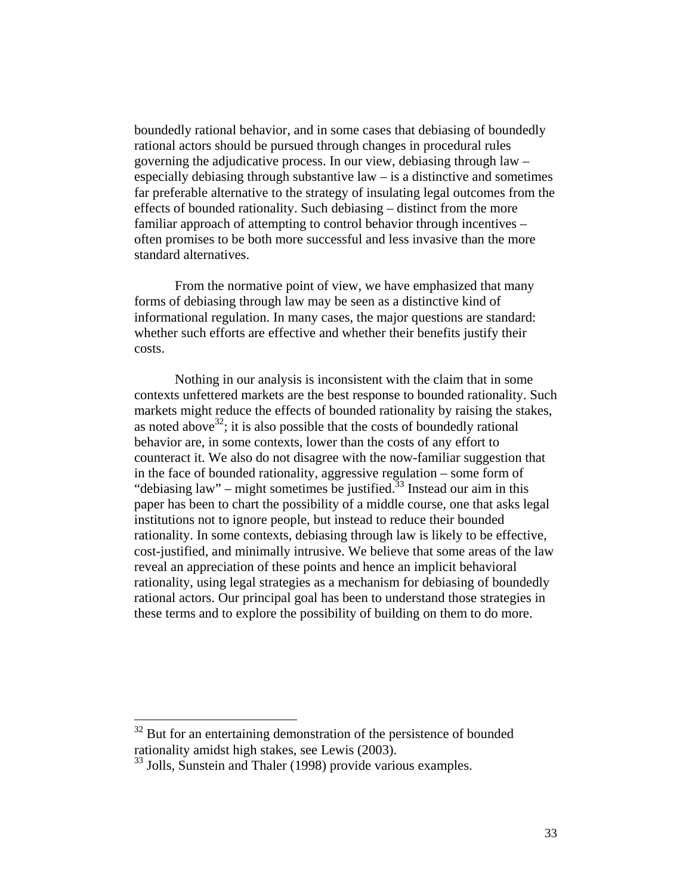boundedly rational behavior, and in some cases that debiasing of boundedly rational actors should be pursued through changes in procedural rules governing the adjudicative process. In our view, debiasing through law – especially debiasing through substantive  $law - is a distinctive and sometimes$ far preferable alternative to the strategy of insulating legal outcomes from the effects of bounded rationality. Such debiasing – distinct from the more familiar approach of attempting to control behavior through incentives – often promises to be both more successful and less invasive than the more standard alternatives.

 From the normative point of view, we have emphasized that many forms of debiasing through law may be seen as a distinctive kind of informational regulation. In many cases, the major questions are standard: whether such efforts are effective and whether their benefits justify their costs.

 Nothing in our analysis is inconsistent with the claim that in some contexts unfettered markets are the best response to bounded rationality. Such markets might reduce the effects of bounded rationality by raising the stakes, as noted above<sup>32</sup>; it is also possible that the costs of boundedly rational behavior are, in some contexts, lower than the costs of any effort to counteract it. We also do not disagree with the now-familiar suggestion that in the face of bounded rationality, aggressive regulation – some form of "debiasing law" – might sometimes be justified.<sup>33</sup> Instead our aim in this paper has been to chart the possibility of a middle course, one that asks legal institutions not to ignore people, but instead to reduce their bounded rationality. In some contexts, debiasing through law is likely to be effective, cost-justified, and minimally intrusive. We believe that some areas of the law reveal an appreciation of these points and hence an implicit behavioral rationality, using legal strategies as a mechanism for debiasing of boundedly rational actors. Our principal goal has been to understand those strategies in these terms and to explore the possibility of building on them to do more.

 $32$  But for an entertaining demonstration of the persistence of bounded rationality amidst high stakes, see Lewis (2003).

<sup>&</sup>lt;sup>33</sup> Jolls, Sunstein and Thaler (1998) provide various examples.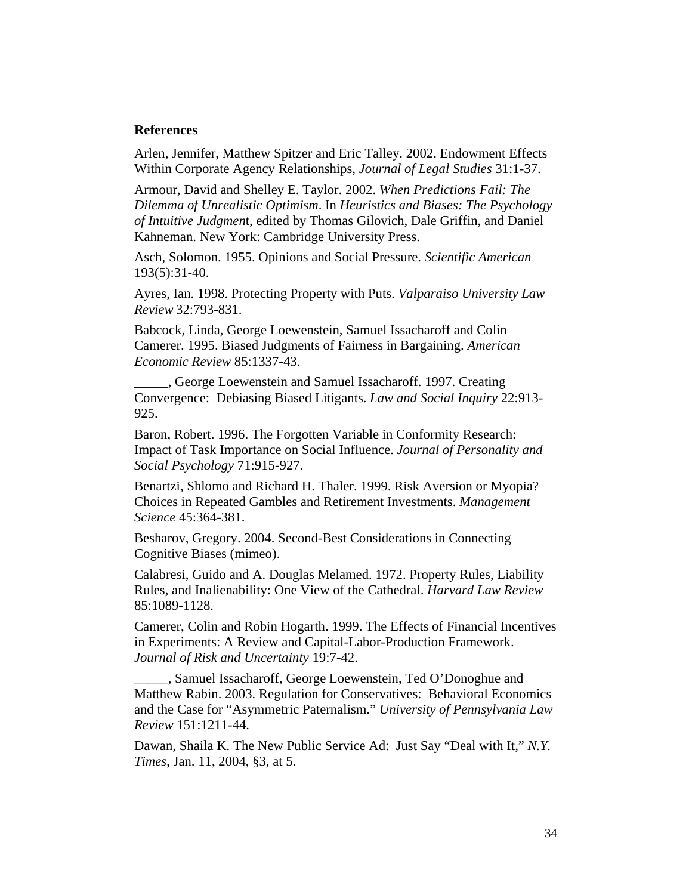#### **References**

Arlen, Jennifer, Matthew Spitzer and Eric Talley. 2002. Endowment Effects Within Corporate Agency Relationships, *Journal of Legal Studies* 31:1-37.

Armour, David and Shelley E. Taylor. 2002. *When Predictions Fail: The Dilemma of Unrealistic Optimism*. In *Heuristics and Biases: The Psychology of Intuitive Judgmen*t, edited by Thomas Gilovich, Dale Griffin, and Daniel Kahneman. New York: Cambridge University Press.

Asch, Solomon. 1955. Opinions and Social Pressure. *Scientific American* 193(5):31-40.

Ayres, Ian. 1998. Protecting Property with Puts. *Valparaiso University Law Review* 32:793-831.

Babcock, Linda, George Loewenstein, Samuel Issacharoff and Colin Camerer. 1995. Biased Judgments of Fairness in Bargaining. *American Economic Review* 85:1337-43.

\_\_\_\_\_, George Loewenstein and Samuel Issacharoff. 1997. Creating Convergence: Debiasing Biased Litigants. *Law and Social Inquiry* 22:913- 925.

Baron, Robert. 1996. The Forgotten Variable in Conformity Research: Impact of Task Importance on Social Influence. *Journal of Personality and Social Psychology* 71:915-927.

Benartzi, Shlomo and Richard H. Thaler. 1999. Risk Aversion or Myopia? Choices in Repeated Gambles and Retirement Investments. *Management Science* 45:364-381.

Besharov, Gregory. 2004. Second-Best Considerations in Connecting Cognitive Biases (mimeo).

Calabresi, Guido and A. Douglas Melamed. 1972. Property Rules, Liability Rules, and Inalienability: One View of the Cathedral. *Harvard Law Review* 85:1089-1128.

Camerer, Colin and Robin Hogarth. 1999. The Effects of Financial Incentives in Experiments: A Review and Capital-Labor-Production Framework. *Journal of Risk and Uncertainty* 19:7-42.

\_\_\_\_\_, Samuel Issacharoff, George Loewenstein, Ted O'Donoghue and Matthew Rabin. 2003. Regulation for Conservatives: Behavioral Economics and the Case for "Asymmetric Paternalism." *University of Pennsylvania Law Review* 151:1211-44.

Dawan, Shaila K. The New Public Service Ad: Just Say "Deal with It," *N.Y. Times*, Jan. 11, 2004, §3, at 5.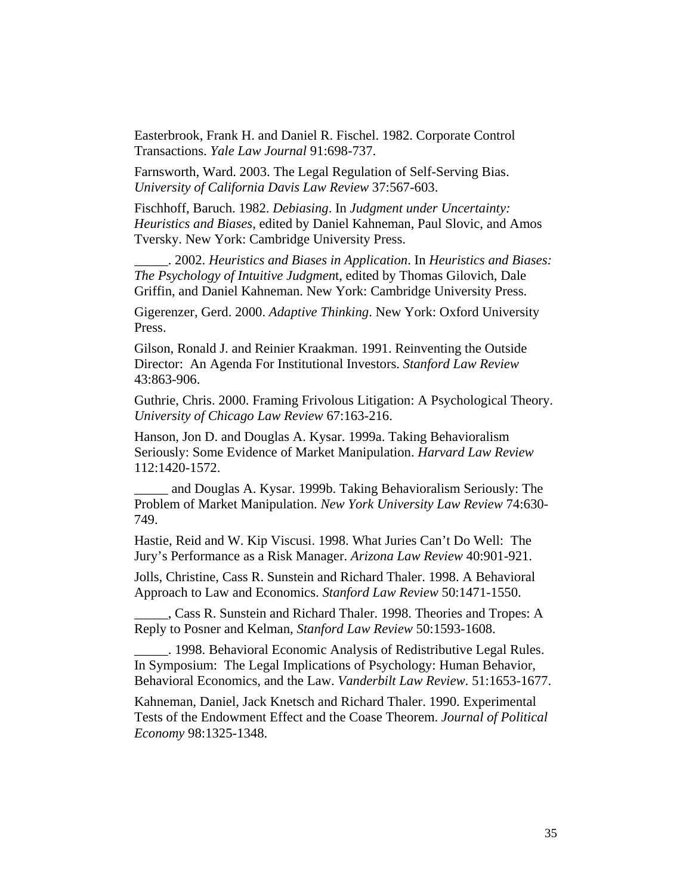Easterbrook, Frank H. and Daniel R. Fischel. 1982. Corporate Control Transactions. *Yale Law Journal* 91:698-737.

Farnsworth, Ward. 2003. The Legal Regulation of Self-Serving Bias. *University of California Davis Law Review* 37:567-603.

Fischhoff, Baruch. 1982. *Debiasing*. In *Judgment under Uncertainty: Heuristics and Biases*, edited by Daniel Kahneman, Paul Slovic, and Amos Tversky. New York: Cambridge University Press.

\_\_\_\_\_. 2002. *Heuristics and Biases in Application*. In *Heuristics and Biases: The Psychology of Intuitive Judgmen*t, edited by Thomas Gilovich, Dale Griffin, and Daniel Kahneman. New York: Cambridge University Press.

Gigerenzer, Gerd. 2000. *Adaptive Thinking*. New York: Oxford University Press.

Gilson, Ronald J. and Reinier Kraakman. 1991. Reinventing the Outside Director: An Agenda For Institutional Investors. *Stanford Law Review* 43:863-906.

Guthrie, Chris. 2000. Framing Frivolous Litigation: A Psychological Theory. *University of Chicago Law Review* 67:163-216.

Hanson, Jon D. and Douglas A. Kysar. 1999a. Taking Behavioralism Seriously: Some Evidence of Market Manipulation. *Harvard Law Review* 112:1420-1572.

\_\_\_\_\_ and Douglas A. Kysar. 1999b. Taking Behavioralism Seriously: The Problem of Market Manipulation. *New York University Law Review* 74:630- 749.

Hastie, Reid and W. Kip Viscusi. 1998. What Juries Can't Do Well: The Jury's Performance as a Risk Manager. *Arizona Law Review* 40:901-921.

Jolls, Christine, Cass R. Sunstein and Richard Thaler. 1998. A Behavioral Approach to Law and Economics. *Stanford Law Review* 50:1471-1550.

\_\_\_\_\_, Cass R. Sunstein and Richard Thaler. 1998. Theories and Tropes: A Reply to Posner and Kelman, *Stanford Law Review* 50:1593-1608.

\_\_\_\_\_. 1998. Behavioral Economic Analysis of Redistributive Legal Rules. In Symposium: The Legal Implications of Psychology: Human Behavior, Behavioral Economics, and the Law. *Vanderbilt Law Review*. 51:1653-1677.

Kahneman, Daniel, Jack Knetsch and Richard Thaler. 1990. Experimental Tests of the Endowment Effect and the Coase Theorem. *Journal of Political Economy* 98:1325-1348.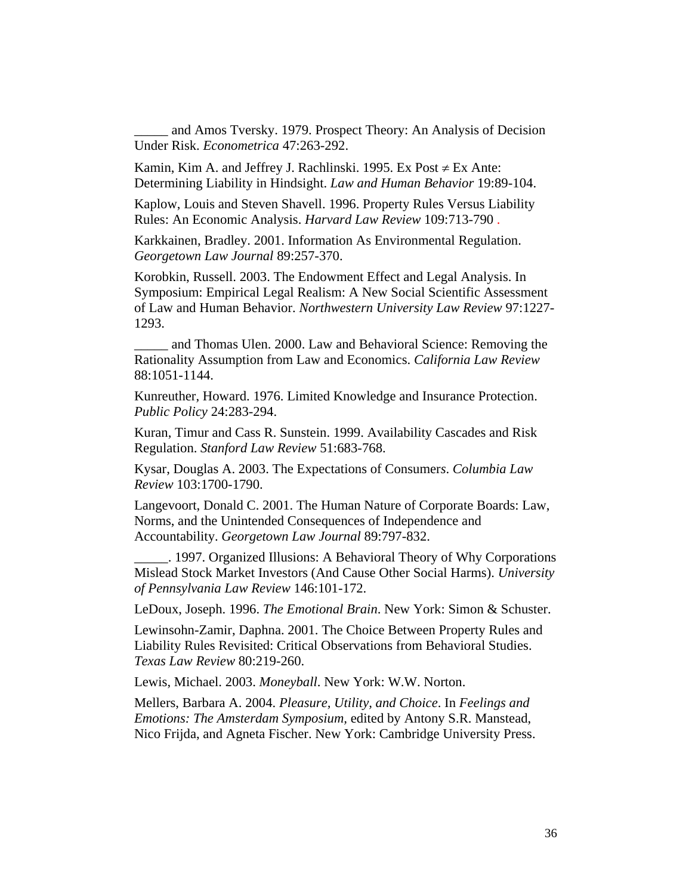and Amos Tversky. 1979. Prospect Theory: An Analysis of Decision Under Risk. *Econometrica* 47:263-292.

Kamin, Kim A. and Jeffrey J. Rachlinski. 1995. Ex Post  $\neq$  Ex Ante: Determining Liability in Hindsight. *Law and Human Behavior* 19:89-104.

Kaplow, Louis and Steven Shavell. 1996. Property Rules Versus Liability Rules: An Economic Analysis. *Harvard Law Review* 109:713-790 .

Karkkainen, Bradley. 2001. Information As Environmental Regulation. *Georgetown Law Journal* 89:257-370.

Korobkin, Russell. 2003. The Endowment Effect and Legal Analysis. In Symposium: Empirical Legal Realism: A New Social Scientific Assessment of Law and Human Behavior. *Northwestern University Law Review* 97:1227- 1293.

and Thomas Ulen. 2000. Law and Behavioral Science: Removing the Rationality Assumption from Law and Economics. *California Law Review* 88:1051-1144.

Kunreuther, Howard. 1976. Limited Knowledge and Insurance Protection. *Public Policy* 24:283-294.

Kuran, Timur and Cass R. Sunstein. 1999. Availability Cascades and Risk Regulation. *Stanford Law Review* 51:683-768.

Kysar, Douglas A. 2003. The Expectations of Consumer*s*. *Columbia Law Review* 103:1700-1790.

Langevoort, Donald C. 2001. The Human Nature of Corporate Boards: Law, Norms, and the Unintended Consequences of Independence and Accountability. *Georgetown Law Journal* 89:797-832.

\_\_\_\_\_. 1997. Organized Illusions: A Behavioral Theory of Why Corporations Mislead Stock Market Investors (And Cause Other Social Harms). *University of Pennsylvania Law Review* 146:101-172.

LeDoux, Joseph. 1996. *The Emotional Brain*. New York: Simon & Schuster.

Lewinsohn-Zamir, Daphna. 2001. The Choice Between Property Rules and Liability Rules Revisited: Critical Observations from Behavioral Studies. *Texas Law Review* 80:219-260.

Lewis, Michael. 2003. *Moneyball*. New York: W.W. Norton.

Mellers, Barbara A. 2004. *Pleasure, Utility, and Choice*. In *Feelings and Emotions: The Amsterdam Symposium,* edited by Antony S.R. Manstead, Nico Frijda, and Agneta Fischer. New York: Cambridge University Press.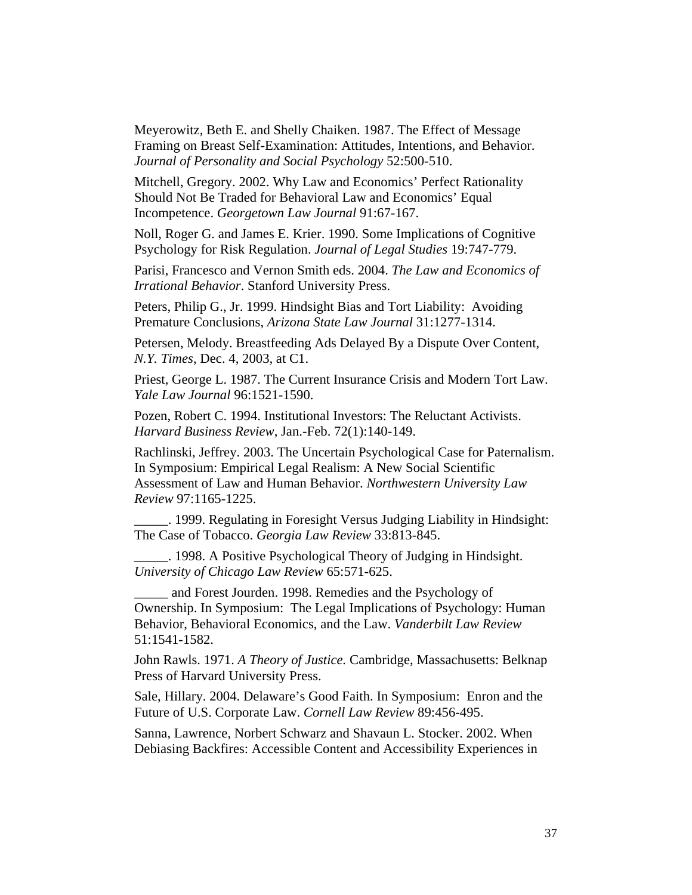Meyerowitz, Beth E. and Shelly Chaiken. 1987. The Effect of Message Framing on Breast Self-Examination: Attitudes, Intentions, and Behavior. *Journal of Personality and Social Psychology* 52:500-510.

Mitchell, Gregory. 2002. Why Law and Economics' Perfect Rationality Should Not Be Traded for Behavioral Law and Economics' Equal Incompetence. *Georgetown Law Journal* 91:67-167.

Noll, Roger G. and James E. Krier. 1990. Some Implications of Cognitive Psychology for Risk Regulation. *Journal of Legal Studies* 19:747-779.

Parisi, Francesco and Vernon Smith eds. 2004. *The Law and Economics of Irrational Behavior*. Stanford University Press.

Peters, Philip G., Jr. 1999. Hindsight Bias and Tort Liability: Avoiding Premature Conclusions, *Arizona State Law Journal* 31:1277-1314.

Petersen, Melody. Breastfeeding Ads Delayed By a Dispute Over Content, *N.Y. Times*, Dec. 4, 2003, at C1.

Priest, George L. 1987. The Current Insurance Crisis and Modern Tort Law. *Yale Law Journal* 96:1521-1590.

Pozen, Robert C. 1994. Institutional Investors: The Reluctant Activists. *Harvard Business Review*, Jan.-Feb. 72(1):140-149.

Rachlinski, Jeffrey. 2003. The Uncertain Psychological Case for Paternalism. In Symposium: Empirical Legal Realism: A New Social Scientific Assessment of Law and Human Behavior. *Northwestern University Law Review* 97:1165-1225.

\_\_\_\_\_. 1999. Regulating in Foresight Versus Judging Liability in Hindsight: The Case of Tobacco. *Georgia Law Review* 33:813-845.

\_\_\_\_\_. 1998. A Positive Psychological Theory of Judging in Hindsight. *University of Chicago Law Review* 65:571-625.

and Forest Jourden. 1998. Remedies and the Psychology of Ownership. In Symposium: The Legal Implications of Psychology: Human Behavior, Behavioral Economics, and the Law. *Vanderbilt Law Review* 51:1541-1582.

John Rawls. 1971. *A Theory of Justice.* Cambridge, Massachusetts: Belknap Press of Harvard University Press.

Sale, Hillary. 2004. Delaware's Good Faith. In Symposium: Enron and the Future of U.S. Corporate Law. *Cornell Law Review* 89:456-495.

Sanna, Lawrence, Norbert Schwarz and Shavaun L. Stocker. 2002. When Debiasing Backfires: Accessible Content and Accessibility Experiences in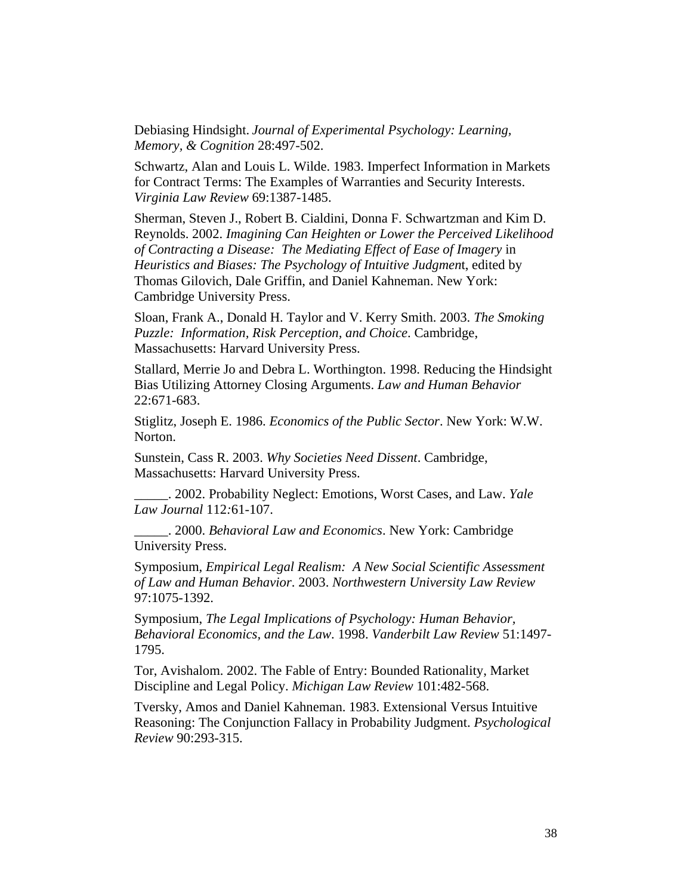Debiasing Hindsight. *Journal of Experimental Psychology: Learning, Memory, & Cognition* 28:497-502.

Schwartz, Alan and Louis L. Wilde. 1983. Imperfect Information in Markets for Contract Terms: The Examples of Warranties and Security Interests. *Virginia Law Review* 69:1387-1485.

Sherman, Steven J., Robert B. Cialdini, Donna F. Schwartzman and Kim D. Reynolds. 2002. *Imagining Can Heighten or Lower the Perceived Likelihood of Contracting a Disease: The Mediating Effect of Ease of Imagery* in *Heuristics and Biases: The Psychology of Intuitive Judgmen*t, edited by Thomas Gilovich, Dale Griffin, and Daniel Kahneman. New York: Cambridge University Press.

Sloan, Frank A., Donald H. Taylor and V. Kerry Smith. 2003. *The Smoking Puzzle: Information, Risk Perception, and Choice*. Cambridge, Massachusetts: Harvard University Press.

Stallard, Merrie Jo and Debra L. Worthington. 1998. Reducing the Hindsight Bias Utilizing Attorney Closing Arguments. *Law and Human Behavior* 22:671-683.

Stiglitz, Joseph E. 1986. *Economics of the Public Sector*. New York: W.W. Norton.

Sunstein, Cass R. 2003. *Why Societies Need Dissent*. Cambridge, Massachusetts: Harvard University Press.

\_\_\_\_\_. 2002. Probability Neglect: Emotions, Worst Cases, and Law. *Yale Law Journal* 112*:*61-107.

\_\_\_\_\_. 2000. *Behavioral Law and Economics*. New York: Cambridge University Press.

Symposium, *Empirical Legal Realism: A New Social Scientific Assessment of Law and Human Behavior*. 2003. *Northwestern University Law Review* 97:1075-1392.

Symposium, *The Legal Implications of Psychology: Human Behavior, Behavioral Economics, and the Law*. 1998. *Vanderbilt Law Review* 51:1497- 1795.

Tor, Avishalom. 2002. The Fable of Entry: Bounded Rationality, Market Discipline and Legal Policy. *Michigan Law Review* 101:482-568.

Tversky, Amos and Daniel Kahneman. 1983. Extensional Versus Intuitive Reasoning: The Conjunction Fallacy in Probability Judgment. *Psychological Review* 90:293-315.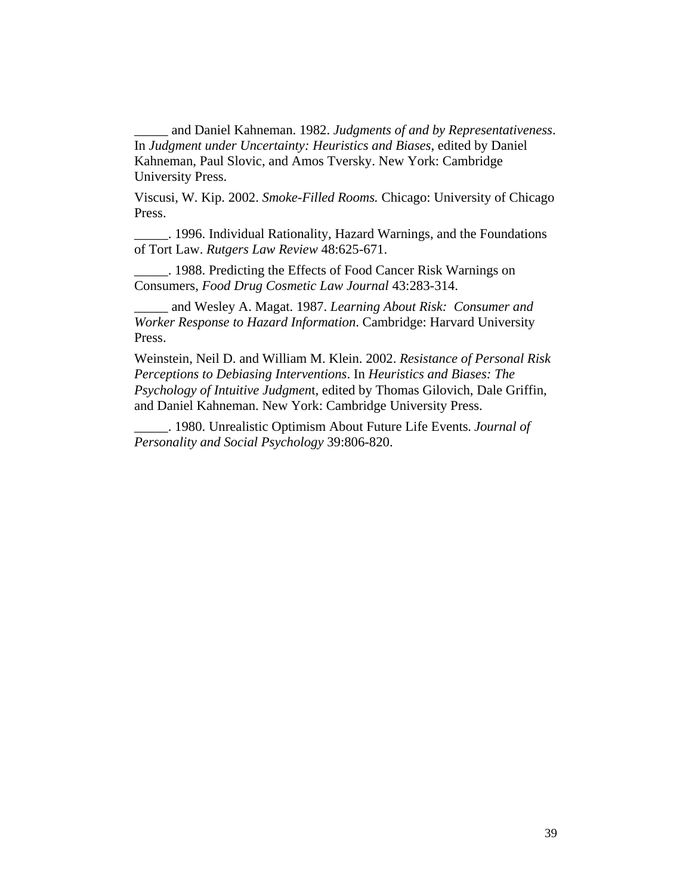\_\_\_\_\_ and Daniel Kahneman. 1982. *Judgments of and by Representativeness*. In *Judgment under Uncertainty: Heuristics and Biases*, edited by Daniel Kahneman, Paul Slovic, and Amos Tversky. New York: Cambridge University Press.

Viscusi, W. Kip. 2002. *Smoke-Filled Rooms.* Chicago: University of Chicago Press.

\_\_\_\_\_. 1996. Individual Rationality, Hazard Warnings, and the Foundations of Tort Law. *Rutgers Law Review* 48:625-671.

\_\_\_\_\_. 1988. Predicting the Effects of Food Cancer Risk Warnings on Consumers, *Food Drug Cosmetic Law Journal* 43:283-314.

\_\_\_\_\_ and Wesley A. Magat. 1987. *Learning About Risk: Consumer and Worker Response to Hazard Information*. Cambridge: Harvard University Press.

Weinstein, Neil D. and William M. Klein. 2002. *Resistance of Personal Risk Perceptions to Debiasing Interventions*. In *Heuristics and Biases: The Psychology of Intuitive Judgmen*t, edited by Thomas Gilovich, Dale Griffin, and Daniel Kahneman. New York: Cambridge University Press.

\_\_\_\_\_. 1980. Unrealistic Optimism About Future Life Events*. Journal of Personality and Social Psychology* 39:806-820.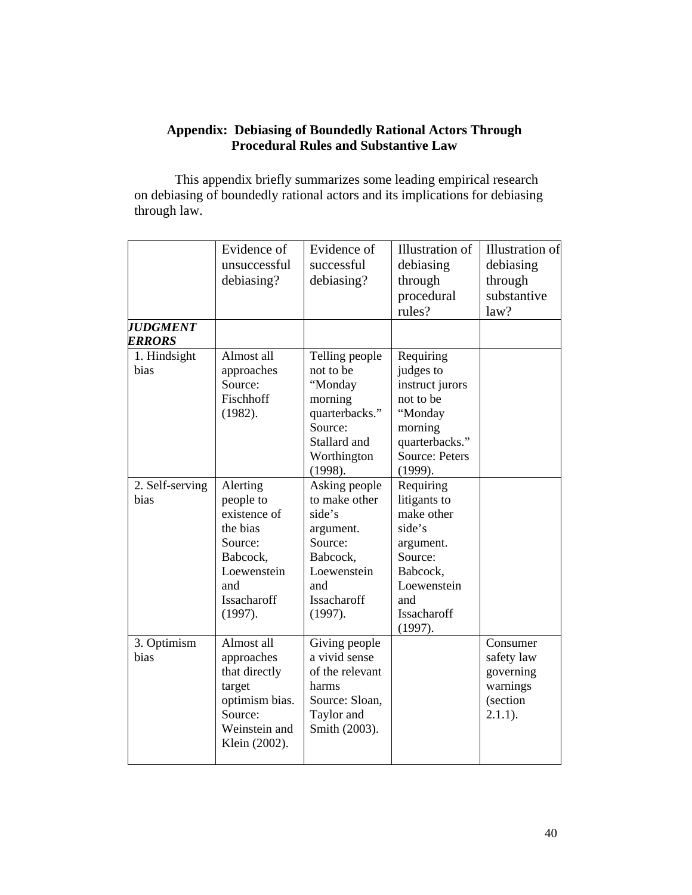#### **Appendix: Debiasing of Boundedly Rational Actors Through Procedural Rules and Substantive Law**

 This appendix briefly summarizes some leading empirical research on debiasing of boundedly rational actors and its implications for debiasing through law.

|                                  | Evidence of<br>unsuccessful<br>debiasing?                                                                                | Evidence of<br>successful<br>debiasing?                                                                                      | Illustration of<br>debiasing<br>through<br>procedural<br>rules?                                                                       | Illustration of<br>debiasing<br>through<br>substantive<br>law?            |
|----------------------------------|--------------------------------------------------------------------------------------------------------------------------|------------------------------------------------------------------------------------------------------------------------------|---------------------------------------------------------------------------------------------------------------------------------------|---------------------------------------------------------------------------|
| <b>JUDGMENT</b><br><b>ERRORS</b> |                                                                                                                          |                                                                                                                              |                                                                                                                                       |                                                                           |
| 1. Hindsight<br>bias             | Almost all<br>approaches<br>Source:<br>Fischhoff<br>(1982).                                                              | Telling people<br>not to be<br>"Monday<br>morning<br>quarterbacks."<br>Source:<br>Stallard and<br>Worthington<br>(1998).     | Requiring<br>judges to<br>instruct jurors<br>not to be<br>"Monday<br>morning<br>quarterbacks."<br><b>Source: Peters</b><br>(1999).    |                                                                           |
| 2. Self-serving<br>bias          | Alerting<br>people to<br>existence of<br>the bias<br>Source:<br>Babcock,<br>Loewenstein<br>and<br>Issacharoff<br>(1997). | Asking people<br>to make other<br>side's<br>argument.<br>Source:<br>Babcock,<br>Loewenstein<br>and<br>Issacharoff<br>(1997). | Requiring<br>litigants to<br>make other<br>side's<br>argument.<br>Source:<br>Babcock,<br>Loewenstein<br>and<br>Issacharoff<br>(1997). |                                                                           |
| 3. Optimism<br>bias              | Almost all<br>approaches<br>that directly<br>target<br>optimism bias.<br>Source:<br>Weinstein and<br>Klein (2002).       | Giving people<br>a vivid sense<br>of the relevant<br>harms<br>Source: Sloan,<br>Taylor and<br>Smith (2003).                  |                                                                                                                                       | Consumer<br>safety law<br>governing<br>warnings<br>(section<br>$2.1.1$ ). |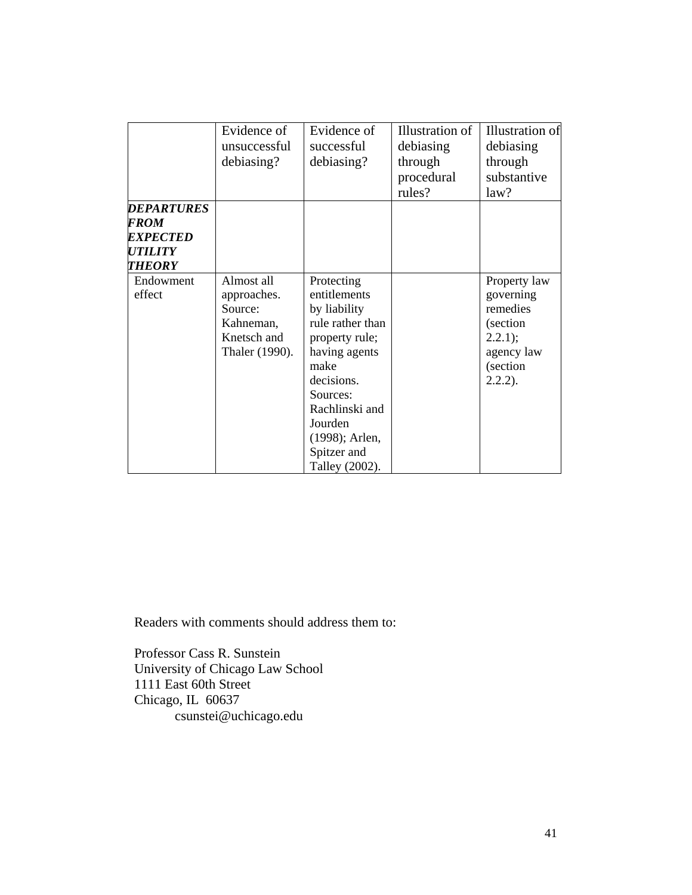|                        | Evidence of    | Evidence of      | Illustration of | Illustration of |
|------------------------|----------------|------------------|-----------------|-----------------|
|                        | unsuccessful   | successful       | debiasing       | debiasing       |
|                        | debiasing?     | debiasing?       | through         | through         |
|                        |                |                  | procedural      | substantive     |
|                        |                |                  | rules?          | law?            |
| <b>DEPARTURES</b>      |                |                  |                 |                 |
| FROM                   |                |                  |                 |                 |
| <i><b>EXPECTED</b></i> |                |                  |                 |                 |
| <b>UTILITY</b>         |                |                  |                 |                 |
| THEORY                 |                |                  |                 |                 |
| Endowment              | Almost all     | Protecting       |                 | Property law    |
| effect                 | approaches.    | entitlements     |                 | governing       |
|                        | Source:        | by liability     |                 | remedies        |
|                        | Kahneman,      | rule rather than |                 | (section        |
|                        | Knetsch and    | property rule;   |                 | 2.2.1);         |
|                        | Thaler (1990). | having agents    |                 | agency law      |
|                        |                | make             |                 | (section        |
|                        |                | decisions.       |                 | $2.2.2$ ).      |
|                        |                | Sources:         |                 |                 |
|                        |                | Rachlinski and   |                 |                 |
|                        |                | Jourden          |                 |                 |
|                        |                | (1998); Arlen,   |                 |                 |
|                        |                | Spitzer and      |                 |                 |
|                        |                | Talley (2002).   |                 |                 |

Readers with comments should address them to:

Professor Cass R. Sunstein University of Chicago Law School 1111 East 60th Street Chicago, IL 60637 csunstei@uchicago.edu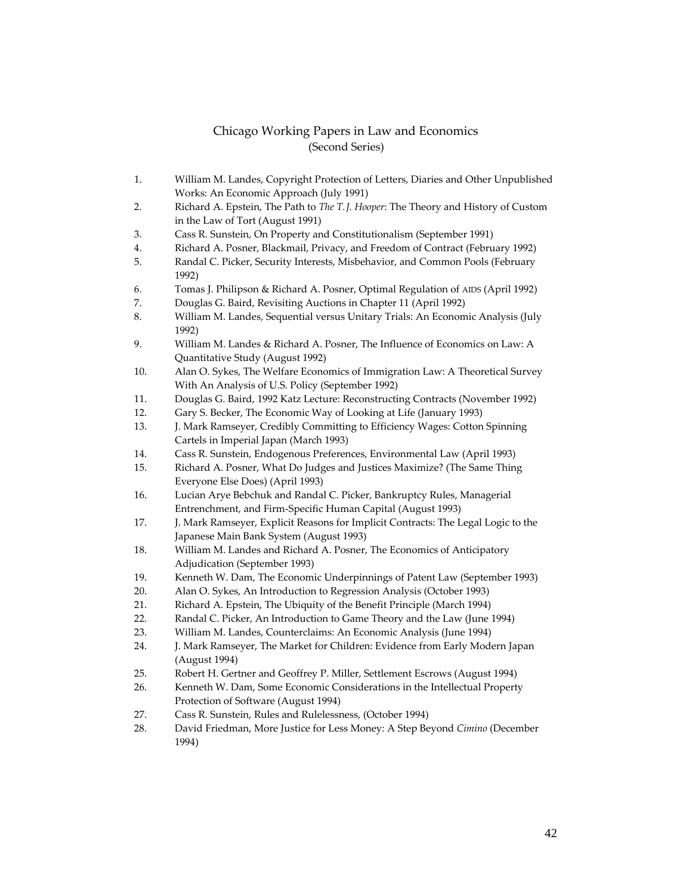#### Chicago Working Papers in Law and Economics (Second Series)

- 1. William M. Landes, Copyright Protection of Letters, Diaries and Other Unpublished Works: An Economic Approach (July 1991)
- 2. Richard A. Epstein, The Path to *The T.J. Hooper*: The Theory and History of Custom in the Law of Tort (August 1991)
- 3. Cass R. Sunstein, On Property and Constitutionalism (September 1991)
- 4. Richard A. Posner, Blackmail, Privacy, and Freedom of Contract (February 1992)
- 5. Randal C. Picker, Security Interests, Misbehavior, and Common Pools (February 1992)
- 6. Tomas J. Philipson & Richard A. Posner, Optimal Regulation of AIDS (April 1992)
- 7. Douglas G. Baird, Revisiting Auctions in Chapter 11 (April 1992)
- 8. William M. Landes, Sequential versus Unitary Trials: An Economic Analysis (July 1992)
- 9. William M. Landes & Richard A. Posner, The Influence of Economics on Law: A Quantitative Study (August 1992)
- 10. Alan O. Sykes, The Welfare Economics of Immigration Law: A Theoretical Survey With An Analysis of U.S. Policy (September 1992)
- 11. Douglas G. Baird, 1992 Katz Lecture: Reconstructing Contracts (November 1992)
- 12. Gary S. Becker, The Economic Way of Looking at Life (January 1993)
- 13. J. Mark Ramseyer, Credibly Committing to Efficiency Wages: Cotton Spinning Cartels in Imperial Japan (March 1993)
- 14. Cass R. Sunstein, Endogenous Preferences, Environmental Law (April 1993)
- 15. Richard A. Posner, What Do Judges and Justices Maximize? (The Same Thing Everyone Else Does) (April 1993)
- 16. Lucian Arye Bebchuk and Randal C. Picker, Bankruptcy Rules, Managerial Entrenchment, and Firm‐Specific Human Capital (August 1993)
- 17. J. Mark Ramseyer, Explicit Reasons for Implicit Contracts: The Legal Logic to the Japanese Main Bank System (August 1993)
- 18. William M. Landes and Richard A. Posner, The Economics of Anticipatory Adjudication (September 1993)
- 19. Kenneth W. Dam, The Economic Underpinnings of Patent Law (September 1993)
- 20. Alan O. Sykes, An Introduction to Regression Analysis (October 1993)
- 21. Richard A. Epstein, The Ubiquity of the Benefit Principle (March 1994)
- 22. Randal C. Picker, An Introduction to Game Theory and the Law (June 1994)
- 23. William M. Landes, Counterclaims: An Economic Analysis (June 1994)
- 24. J. Mark Ramseyer, The Market for Children: Evidence from Early Modern Japan (August 1994)
- 25. Robert H. Gertner and Geoffrey P. Miller, Settlement Escrows (August 1994)
- 26. Kenneth W. Dam, Some Economic Considerations in the Intellectual Property Protection of Software (August 1994)
- 27. Cass R. Sunstein, Rules and Rulelessness, (October 1994)
- 28. David Friedman, More Justice for Less Money: A Step Beyond *Cimino* (December 1994)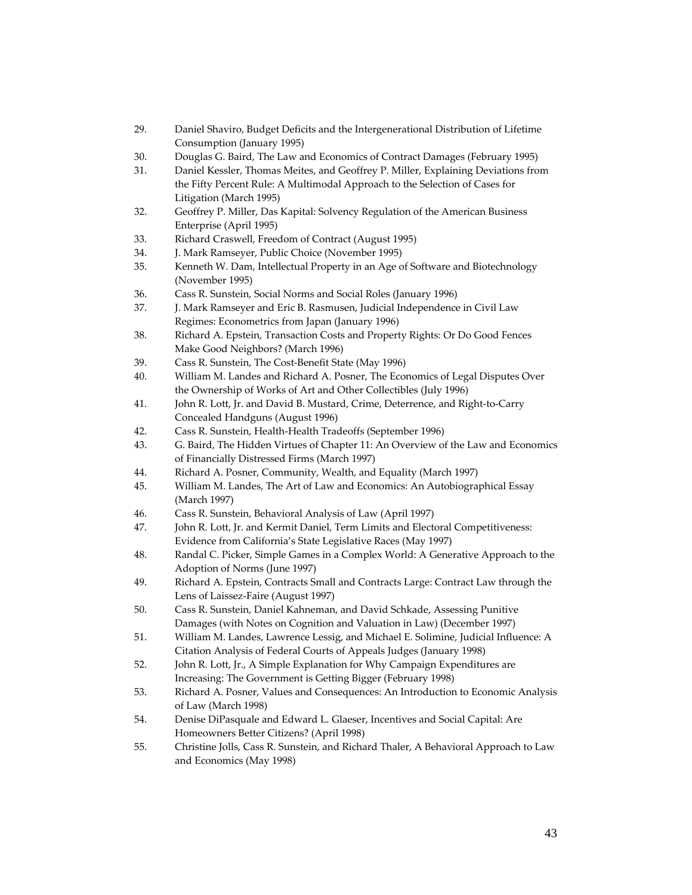- 29. Daniel Shaviro, Budget Deficits and the Intergenerational Distribution of Lifetime Consumption (January 1995)
- 30. Douglas G. Baird, The Law and Economics of Contract Damages (February 1995)
- 31. Daniel Kessler, Thomas Meites, and Geoffrey P. Miller, Explaining Deviations from the Fifty Percent Rule: A Multimodal Approach to the Selection of Cases for Litigation (March 1995)
- 32. Geoffrey P. Miller, Das Kapital: Solvency Regulation of the American Business Enterprise (April 1995)
- 33. Richard Craswell, Freedom of Contract (August 1995)
- 34. J. Mark Ramseyer, Public Choice (November 1995)
- 35. Kenneth W. Dam, Intellectual Property in an Age of Software and Biotechnology (November 1995)
- 36. Cass R. Sunstein, Social Norms and Social Roles (January 1996)
- 37. J. Mark Ramseyer and Eric B. Rasmusen, Judicial Independence in Civil Law Regimes: Econometrics from Japan (January 1996)
- 38. Richard A. Epstein, Transaction Costs and Property Rights: Or Do Good Fences Make Good Neighbors? (March 1996)
- 39. Cass R. Sunstein, The Cost‐Benefit State (May 1996)
- 40. William M. Landes and Richard A. Posner, The Economics of Legal Disputes Over the Ownership of Works of Art and Other Collectibles (July 1996)
- 41. John R. Lott, Jr. and David B. Mustard, Crime, Deterrence, and Right-to-Carry Concealed Handguns (August 1996)
- 42. Cass R. Sunstein, Health‐Health Tradeoffs (September 1996)
- 43. G. Baird, The Hidden Virtues of Chapter 11: An Overview of the Law and Economics of Financially Distressed Firms (March 1997)
- 44. Richard A. Posner, Community, Wealth, and Equality (March 1997)
- 45. William M. Landes, The Art of Law and Economics: An Autobiographical Essay (March 1997)
- 46. Cass R. Sunstein, Behavioral Analysis of Law (April 1997)
- 47. John R. Lott, Jr. and Kermit Daniel, Term Limits and Electoral Competitiveness: Evidence from California's State Legislative Races (May 1997)
- 48. Randal C. Picker, Simple Games in a Complex World: A Generative Approach to the Adoption of Norms (June 1997)
- 49. Richard A. Epstein, Contracts Small and Contracts Large: Contract Law through the Lens of Laissez‐Faire (August 1997)
- 50. Cass R. Sunstein, Daniel Kahneman, and David Schkade, Assessing Punitive Damages (with Notes on Cognition and Valuation in Law) (December 1997)
- 51. William M. Landes, Lawrence Lessig, and Michael E. Solimine, Judicial Influence: A Citation Analysis of Federal Courts of Appeals Judges (January 1998)
- 52. John R. Lott, Jr., A Simple Explanation for Why Campaign Expenditures are Increasing: The Government is Getting Bigger (February 1998)
- 53. Richard A. Posner, Values and Consequences: An Introduction to Economic Analysis of Law (March 1998)
- 54. Denise DiPasquale and Edward L. Glaeser, Incentives and Social Capital: Are Homeowners Better Citizens? (April 1998)
- 55. Christine Jolls, Cass R. Sunstein, and Richard Thaler, A Behavioral Approach to Law and Economics (May 1998)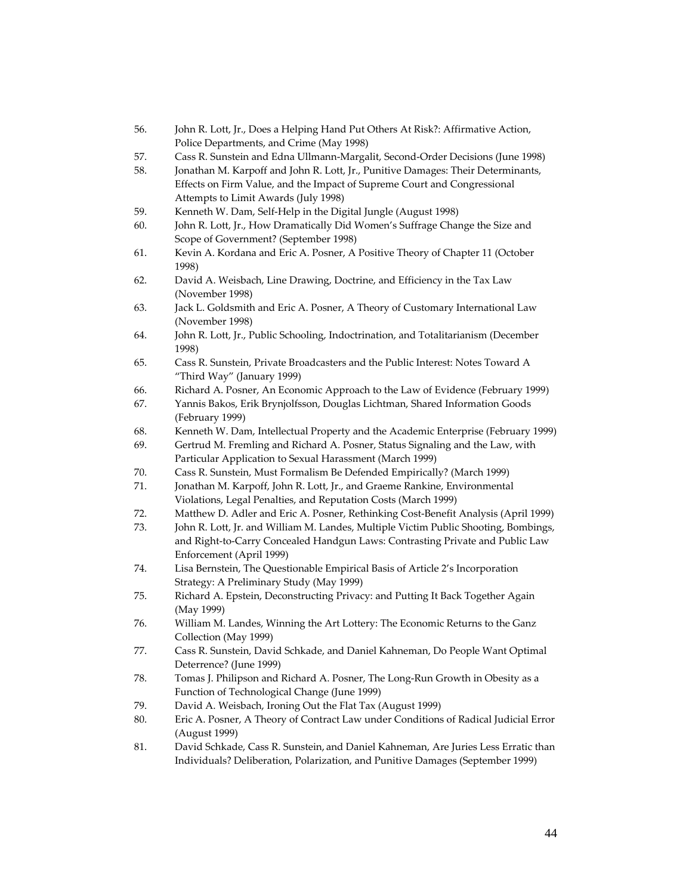- 56. John R. Lott, Jr., Does a Helping Hand Put Others At Risk?: Affirmative Action, Police Departments, and Crime (May 1998)
- 57. Cass R. Sunstein and Edna Ullmann‐Margalit, Second‐Order Decisions (June 1998)
- 58. Jonathan M. Karpoff and John R. Lott, Jr., Punitive Damages: Their Determinants, Effects on Firm Value, and the Impact of Supreme Court and Congressional Attempts to Limit Awards (July 1998)
- 59. Kenneth W. Dam, Self‐Help in the Digital Jungle (August 1998)
- 60. John R. Lott, Jr., How Dramatically Did Women's Suffrage Change the Size and Scope of Government? (September 1998)
- 61. Kevin A. Kordana and Eric A. Posner, A Positive Theory of Chapter 11 (October 1998)
- 62. David A. Weisbach, Line Drawing, Doctrine, and Efficiency in the Tax Law (November 1998)
- 63. Jack L. Goldsmith and Eric A. Posner, A Theory of Customary International Law (November 1998)
- 64. John R. Lott, Jr., Public Schooling, Indoctrination, and Totalitarianism (December 1998)
- 65. Cass R. Sunstein, Private Broadcasters and the Public Interest: Notes Toward A "Third Way" (January 1999)
- 66. Richard A. Posner, An Economic Approach to the Law of Evidence (February 1999)
- 67. Yannis Bakos, Erik Brynjolfsson, Douglas Lichtman, Shared Information Goods (February 1999)
- 68. Kenneth W. Dam, Intellectual Property and the Academic Enterprise (February 1999)
- 69. Gertrud M. Fremling and Richard A. Posner, Status Signaling and the Law, with Particular Application to Sexual Harassment (March 1999)
- 70. Cass R. Sunstein, Must Formalism Be Defended Empirically? (March 1999)
- 71. Jonathan M. Karpoff, John R. Lott, Jr., and Graeme Rankine, Environmental Violations, Legal Penalties, and Reputation Costs (March 1999)
- 72. Matthew D. Adler and Eric A. Posner, Rethinking Cost‐Benefit Analysis (April 1999)
- 73. John R. Lott, Jr. and William M. Landes, Multiple Victim Public Shooting, Bombings, and Right‐to‐Carry Concealed Handgun Laws: Contrasting Private and Public Law Enforcement (April 1999)
- 74. Lisa Bernstein, The Questionable Empirical Basis of Article 2's Incorporation Strategy: A Preliminary Study (May 1999)
- 75. Richard A. Epstein, Deconstructing Privacy: and Putting It Back Together Again (May 1999)
- 76. William M. Landes, Winning the Art Lottery: The Economic Returns to the Ganz Collection (May 1999)
- 77. Cass R. Sunstein, David Schkade, and Daniel Kahneman, Do People Want Optimal Deterrence? (June 1999)
- 78. Tomas J. Philipson and Richard A. Posner, The Long-Run Growth in Obesity as a Function of Technological Change (June 1999)
- 79. David A. Weisbach, Ironing Out the Flat Tax (August 1999)
- 80. Eric A. Posner, A Theory of Contract Law under Conditions of Radical Judicial Error (August 1999)
- 81. David Schkade, Cass R. Sunstein, and Daniel Kahneman, Are Juries Less Erratic than Individuals? Deliberation, Polarization, and Punitive Damages (September 1999)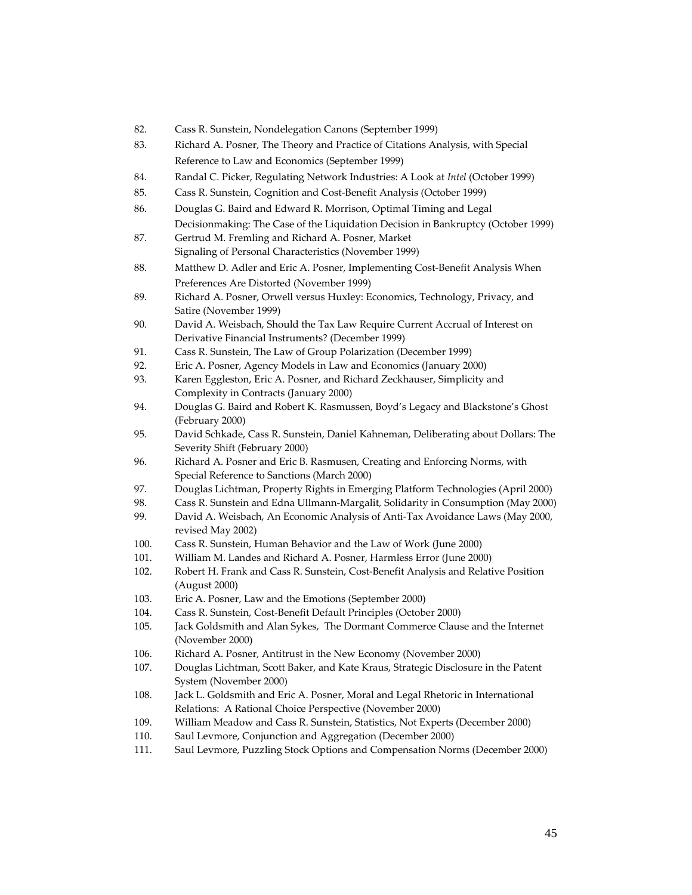- 82. Cass R. Sunstein, Nondelegation Canons (September 1999)
- 83. Richard A. Posner, The Theory and Practice of Citations Analysis, with Special Reference to Law and Economics (September 1999)
- 84. Randal C. Picker, Regulating Network Industries: A Look at *Intel* (October 1999)
- 85. Cass R. Sunstein, Cognition and Cost‐Benefit Analysis (October 1999)
- 86. Douglas G. Baird and Edward R. Morrison, Optimal Timing and Legal
- Decisionmaking: The Case of the Liquidation Decision in Bankruptcy (October 1999) 87. Gertrud M. Fremling and Richard A. Posner, Market
- Signaling of Personal Characteristics (November 1999)
- 88. Matthew D. Adler and Eric A. Posner, Implementing Cost-Benefit Analysis When Preferences Are Distorted (November 1999)
- 89. Richard A. Posner, Orwell versus Huxley: Economics, Technology, Privacy, and Satire (November 1999)
- 90. David A. Weisbach, Should the Tax Law Require Current Accrual of Interest on Derivative Financial Instruments? (December 1999)
- 91. Cass R. Sunstein, The Law of Group Polarization (December 1999)
- 92. Eric A. Posner, Agency Models in Law and Economics (January 2000)
- 93. Karen Eggleston, Eric A. Posner, and Richard Zeckhauser, Simplicity and Complexity in Contracts (January 2000)
- 94. Douglas G. Baird and Robert K. Rasmussen, Boyd's Legacy and Blackstone's Ghost (February 2000)
- 95. David Schkade, Cass R. Sunstein, Daniel Kahneman, Deliberating about Dollars: The Severity Shift (February 2000)
- 96. Richard A. Posner and Eric B. Rasmusen, Creating and Enforcing Norms, with Special Reference to Sanctions (March 2000)
- 97. Douglas Lichtman, Property Rights in Emerging Platform Technologies (April 2000)
- 98. Cass R. Sunstein and Edna Ullmann-Margalit, Solidarity in Consumption (May 2000)
- 99. David A. Weisbach, An Economic Analysis of Anti-Tax Avoidance Laws (May 2000, revised May 2002)
- 100. Cass R. Sunstein, Human Behavior and the Law of Work (June 2000)
- 101. William M. Landes and Richard A. Posner, Harmless Error (June 2000)
- 102. Robert H. Frank and Cass R. Sunstein, Cost‐Benefit Analysis and Relative Position (August 2000)
- 103. Eric A. Posner, Law and the Emotions (September 2000)
- 104. Cass R. Sunstein, Cost-Benefit Default Principles (October 2000)
- 105. Jack Goldsmith and Alan Sykes, The Dormant Commerce Clause and the Internet (November 2000)
- 106. Richard A. Posner, Antitrust in the New Economy (November 2000)
- 107. Douglas Lichtman, Scott Baker, and Kate Kraus, Strategic Disclosure in the Patent System (November 2000)
- 108. Jack L. Goldsmith and Eric A. Posner, Moral and Legal Rhetoric in International Relations: A Rational Choice Perspective (November 2000)
- 109. William Meadow and Cass R. Sunstein, Statistics, Not Experts (December 2000)
- 110. Saul Levmore, Conjunction and Aggregation (December 2000)
- 111. Saul Levmore, Puzzling Stock Options and Compensation Norms (December 2000)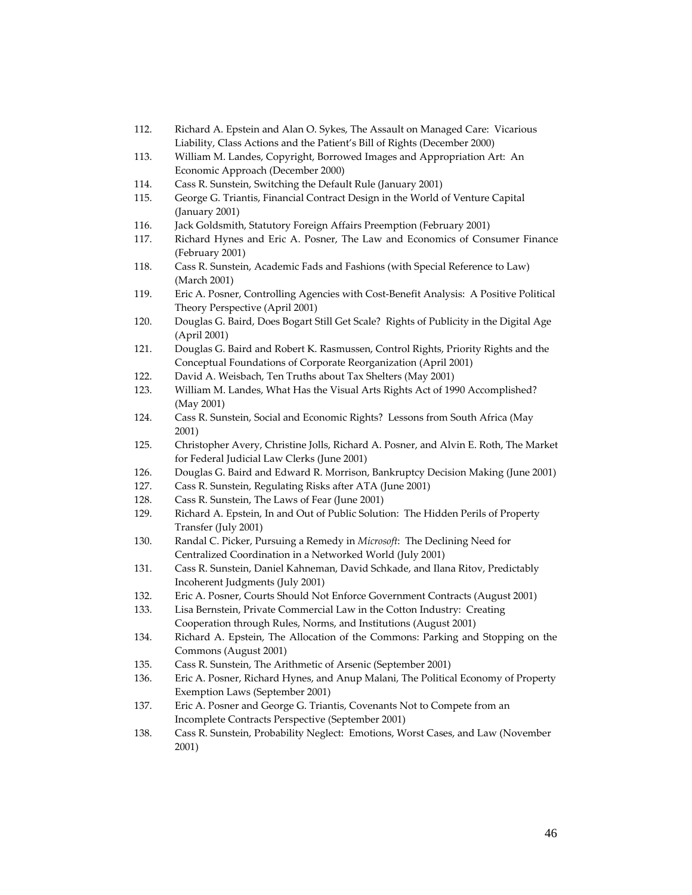- 112. Richard A. Epstein and Alan O. Sykes, The Assault on Managed Care: Vicarious Liability, Class Actions and the Patient's Bill of Rights (December 2000)
- 113. William M. Landes, Copyright, Borrowed Images and Appropriation Art: An Economic Approach (December 2000)
- 114. Cass R. Sunstein, Switching the Default Rule (January 2001)
- 115. George G. Triantis, Financial Contract Design in the World of Venture Capital (January 2001)
- 116. Jack Goldsmith, Statutory Foreign Affairs Preemption (February 2001)
- 117. Richard Hynes and Eric A. Posner, The Law and Economics of Consumer Finance (February 2001)
- 118. Cass R. Sunstein, Academic Fads and Fashions (with Special Reference to Law) (March 2001)
- 119. Eric A. Posner, Controlling Agencies with Cost-Benefit Analysis: A Positive Political Theory Perspective (April 2001)
- 120. Douglas G. Baird, Does Bogart Still Get Scale? Rights of Publicity in the Digital Age (April 2001)
- 121. Douglas G. Baird and Robert K. Rasmussen, Control Rights, Priority Rights and the Conceptual Foundations of Corporate Reorganization (April 2001)
- 122. David A. Weisbach, Ten Truths about Tax Shelters (May 2001)
- 123. William M. Landes, What Has the Visual Arts Rights Act of 1990 Accomplished? (May 2001)
- 124. Cass R. Sunstein, Social and Economic Rights? Lessons from South Africa (May 2001)
- 125. Christopher Avery, Christine Jolls, Richard A. Posner, and Alvin E. Roth, The Market for Federal Judicial Law Clerks (June 2001)
- 126. Douglas G. Baird and Edward R. Morrison, Bankruptcy Decision Making (June 2001)
- 127. Cass R. Sunstein, Regulating Risks after ATA (June 2001)
- 128. Cass R. Sunstein, The Laws of Fear (June 2001)
- 129. Richard A. Epstein, In and Out of Public Solution: The Hidden Perils of Property Transfer (July 2001)
- 130. Randal C. Picker, Pursuing a Remedy in *Microsoft*: The Declining Need for Centralized Coordination in a Networked World (July 2001)
- 131. Cass R. Sunstein, Daniel Kahneman, David Schkade, and Ilana Ritov, Predictably Incoherent Judgments (July 2001)
- 132. Eric A. Posner, Courts Should Not Enforce Government Contracts (August 2001)
- 133. Lisa Bernstein, Private Commercial Law in the Cotton Industry: Creating Cooperation through Rules, Norms, and Institutions (August 2001)
- 134. Richard A. Epstein, The Allocation of the Commons: Parking and Stopping on the Commons (August 2001)
- 135. Cass R. Sunstein, The Arithmetic of Arsenic (September 2001)
- 136. Eric A. Posner, Richard Hynes, and Anup Malani, The Political Economy of Property Exemption Laws (September 2001)
- 137. Eric A. Posner and George G. Triantis, Covenants Not to Compete from an Incomplete Contracts Perspective (September 2001)
- 138. Cass R. Sunstein, Probability Neglect: Emotions, Worst Cases, and Law (November 2001)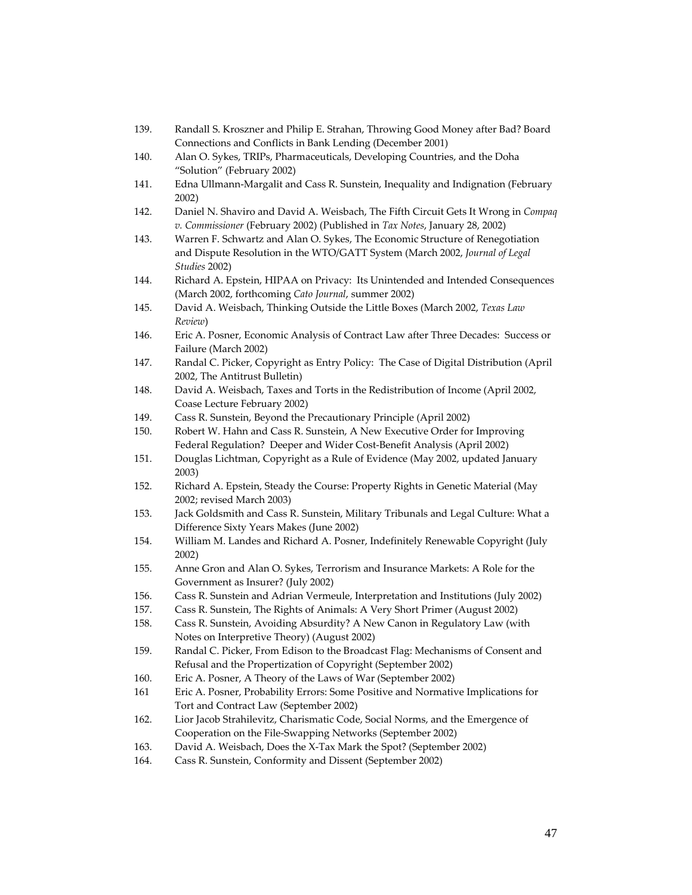- 139. Randall S. Kroszner and Philip E. Strahan, Throwing Good Money after Bad? Board Connections and Conflicts in Bank Lending (December 2001)
- 140. Alan O. Sykes, TRIPs, Pharmaceuticals, Developing Countries, and the Doha "Solution" (February 2002)
- 141. Edna Ullmann‐Margalit and Cass R. Sunstein, Inequality and Indignation (February 2002)
- 142. Daniel N. Shaviro and David A. Weisbach, The Fifth Circuit Gets It Wrong in *Compaq v. Commissioner* (February 2002) (Published in *Tax Notes*, January 28, 2002)
- 143. Warren F. Schwartz and Alan O. Sykes, The Economic Structure of Renegotiation and Dispute Resolution in the WTO/GATT System (March 2002, *Journal of Legal Studies* 2002)
- 144. Richard A. Epstein, HIPAA on Privacy: Its Unintended and Intended Consequences (March 2002, forthcoming *Cato Journal*, summer 2002)
- 145. David A. Weisbach, Thinking Outside the Little Boxes (March 2002, *Texas Law Review*)
- 146. Eric A. Posner, Economic Analysis of Contract Law after Three Decades: Success or Failure (March 2002)
- 147. Randal C. Picker, Copyright as Entry Policy: The Case of Digital Distribution (April 2002, The Antitrust Bulletin)
- 148. David A. Weisbach, Taxes and Torts in the Redistribution of Income (April 2002, Coase Lecture February 2002)
- 149. Cass R. Sunstein, Beyond the Precautionary Principle (April 2002)
- 150. Robert W. Hahn and Cass R. Sunstein, A New Executive Order for Improving Federal Regulation? Deeper and Wider Cost‐Benefit Analysis (April 2002)
- 151. Douglas Lichtman, Copyright as a Rule of Evidence (May 2002, updated January 2003)
- 152. Richard A. Epstein, Steady the Course: Property Rights in Genetic Material (May 2002; revised March 2003)
- 153. Jack Goldsmith and Cass R. Sunstein, Military Tribunals and Legal Culture: What a Difference Sixty Years Makes (June 2002)
- 154. William M. Landes and Richard A. Posner, Indefinitely Renewable Copyright (July 2002)
- 155. Anne Gron and Alan O. Sykes, Terrorism and Insurance Markets: A Role for the Government as Insurer? (July 2002)
- 156. Cass R. Sunstein and Adrian Vermeule, Interpretation and Institutions (July 2002)
- 157. Cass R. Sunstein, The Rights of Animals: A Very Short Primer (August 2002)
- 158. Cass R. Sunstein, Avoiding Absurdity? A New Canon in Regulatory Law (with Notes on Interpretive Theory) (August 2002)
- 159. Randal C. Picker, From Edison to the Broadcast Flag: Mechanisms of Consent and Refusal and the Propertization of Copyright (September 2002)
- 160. Eric A. Posner, A Theory of the Laws of War (September 2002)
- 161 Eric A. Posner, Probability Errors: Some Positive and Normative Implications for Tort and Contract Law (September 2002)
- 162. Lior Jacob Strahilevitz, Charismatic Code, Social Norms, and the Emergence of Cooperation on the File‐Swapping Networks (September 2002)
- 163. David A. Weisbach, Does the X‐Tax Mark the Spot? (September 2002)
- 164. Cass R. Sunstein, Conformity and Dissent (September 2002)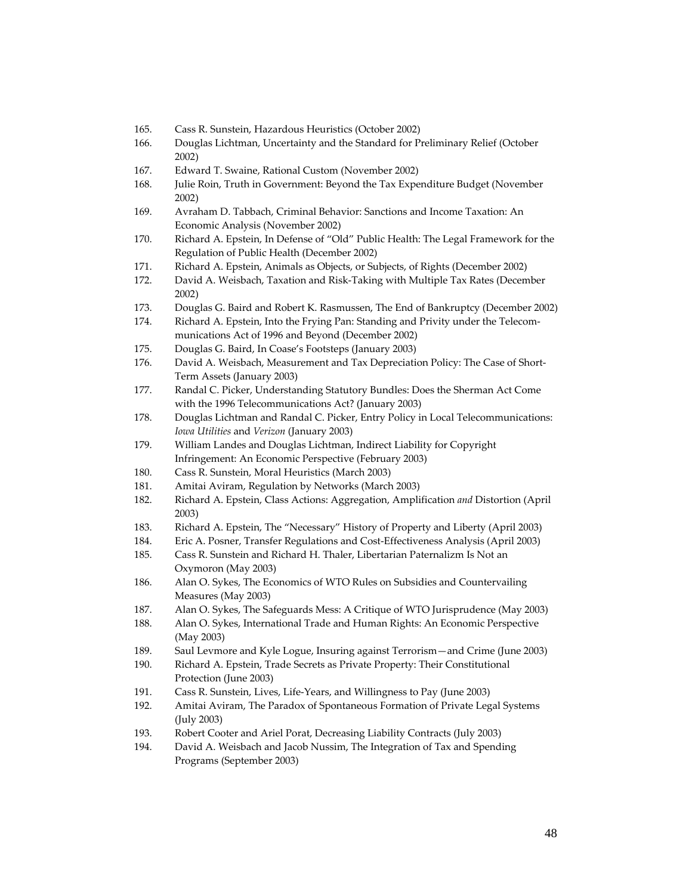- 165. Cass R. Sunstein, Hazardous Heuristics (October 2002)
- 166. Douglas Lichtman, Uncertainty and the Standard for Preliminary Relief (October 2002)
- 167. Edward T. Swaine, Rational Custom (November 2002)
- 168. Julie Roin, Truth in Government: Beyond the Tax Expenditure Budget (November 2002)
- 169. Avraham D. Tabbach, Criminal Behavior: Sanctions and Income Taxation: An Economic Analysis (November 2002)
- 170. Richard A. Epstein, In Defense of "Old" Public Health: The Legal Framework for the Regulation of Public Health (December 2002)
- 171. Richard A. Epstein, Animals as Objects, or Subjects, of Rights (December 2002)
- 172. David A. Weisbach, Taxation and Risk‐Taking with Multiple Tax Rates (December 2002)
- 173. Douglas G. Baird and Robert K. Rasmussen, The End of Bankruptcy (December 2002)
- 174. Richard A. Epstein, Into the Frying Pan: Standing and Privity under the Telecom‐ munications Act of 1996 and Beyond (December 2002)
- 175. Douglas G. Baird, In Coase's Footsteps (January 2003)
- 176. David A. Weisbach, Measurement and Tax Depreciation Policy: The Case of Short-Term Assets (January 2003)
- 177. Randal C. Picker, Understanding Statutory Bundles: Does the Sherman Act Come with the 1996 Telecommunications Act? (January 2003)
- 178. Douglas Lichtman and Randal C. Picker, Entry Policy in Local Telecommunications: *Iowa Utilities* and *Verizon* (January 2003)
- 179. William Landes and Douglas Lichtman, Indirect Liability for Copyright Infringement: An Economic Perspective (February 2003)
- 180. Cass R. Sunstein, Moral Heuristics (March 2003)
- 181. Amitai Aviram, Regulation by Networks (March 2003)
- 182. Richard A. Epstein, Class Actions: Aggregation, Amplification *and* Distortion (April 2003)
- 183. Richard A. Epstein, The "Necessary" History of Property and Liberty (April 2003)
- 184. Eric A. Posner, Transfer Regulations and Cost‐Effectiveness Analysis (April 2003)
- 185. Cass R. Sunstein and Richard H. Thaler, Libertarian Paternalizm Is Not an Oxymoron (May 2003)
- 186. Alan O. Sykes, The Economics of WTO Rules on Subsidies and Countervailing Measures (May 2003)
- 187. Alan O. Sykes, The Safeguards Mess: A Critique of WTO Jurisprudence (May 2003)
- 188. Alan O. Sykes, International Trade and Human Rights: An Economic Perspective (May 2003)
- 189. Saul Levmore and Kyle Logue, Insuring against Terrorism—and Crime (June 2003)
- 190. Richard A. Epstein, Trade Secrets as Private Property: Their Constitutional Protection (June 2003)
- 191. Cass R. Sunstein, Lives, Life‐Years, and Willingness to Pay (June 2003)
- 192. Amitai Aviram, The Paradox of Spontaneous Formation of Private Legal Systems (July 2003)
- 193. Robert Cooter and Ariel Porat, Decreasing Liability Contracts (July 2003)
- 194. David A. Weisbach and Jacob Nussim, The Integration of Tax and Spending Programs (September 2003)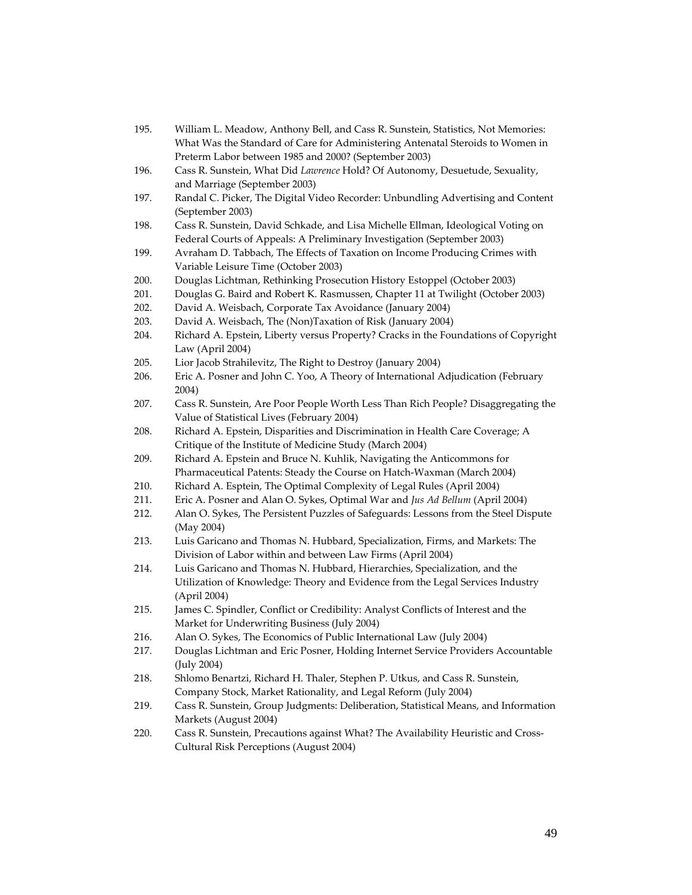| 195. | William L. Meadow, Anthony Bell, and Cass R. Sunstein, Statistics, Not Memories:    |
|------|-------------------------------------------------------------------------------------|
|      | What Was the Standard of Care for Administering Antenatal Steroids to Women in      |
|      | Preterm Labor between 1985 and 2000? (September 2003)                               |
| 196. | Cass R. Sunstein, What Did Lawrence Hold? Of Autonomy, Desuetude, Sexuality,        |
|      | and Marriage (September 2003)                                                       |
| 197. | Randal C. Picker, The Digital Video Recorder: Unbundling Advertising and Content    |
|      | (September 2003)                                                                    |
| 198. | Cass R. Sunstein, David Schkade, and Lisa Michelle Ellman, Ideological Voting on    |
|      | Federal Courts of Appeals: A Preliminary Investigation (September 2003)             |
| 199. | Avraham D. Tabbach, The Effects of Taxation on Income Producing Crimes with         |
|      | Variable Leisure Time (October 2003)                                                |
| 200. | Douglas Lichtman, Rethinking Prosecution History Estoppel (October 2003)            |
| 201. | Douglas G. Baird and Robert K. Rasmussen, Chapter 11 at Twilight (October 2003)     |
| 202. | David A. Weisbach, Corporate Tax Avoidance (January 2004)                           |
| 203. | David A. Weisbach, The (Non)Taxation of Risk (January 2004)                         |
| 204. | Richard A. Epstein, Liberty versus Property? Cracks in the Foundations of Copyright |
|      | Law (April 2004)                                                                    |
| 205. | Lior Jacob Strahilevitz, The Right to Destroy (January 2004)                        |
| 206. | Eric A. Posner and John C. Yoo, A Theory of International Adjudication (February    |
|      | 2004)                                                                               |
| 207. | Cass R. Sunstein, Are Poor People Worth Less Than Rich People? Disaggregating the   |
|      | Value of Statistical Lives (February 2004)                                          |
| 208. | Richard A. Epstein, Disparities and Discrimination in Health Care Coverage; A       |
|      | Critique of the Institute of Medicine Study (March 2004)                            |
| 209. | Richard A. Epstein and Bruce N. Kuhlik, Navigating the Anticommons for              |
|      | Pharmaceutical Patents: Steady the Course on Hatch-Waxman (March 2004)              |
| 210. | Richard A. Esptein, The Optimal Complexity of Legal Rules (April 2004)              |
| 211. | Eric A. Posner and Alan O. Sykes, Optimal War and Jus Ad Bellum (April 2004)        |
| 212. | Alan O. Sykes, The Persistent Puzzles of Safeguards: Lessons from the Steel Dispute |
|      | (May 2004)                                                                          |
| 213. | Luis Garicano and Thomas N. Hubbard, Specialization, Firms, and Markets: The        |
|      | Division of Labor within and between Law Firms (April 2004)                         |
| 214. | Luis Garicano and Thomas N. Hubbard, Hierarchies, Specialization, and the           |
|      | Utilization of Knowledge: Theory and Evidence from the Legal Services Industry      |
|      | (April 2004)                                                                        |
| 215. | James C. Spindler, Conflict or Credibility: Analyst Conflicts of Interest and the   |
|      | Market for Underwriting Business (July 2004)                                        |
| 216. | Alan O. Sykes, The Economics of Public International Law (July 2004)                |
| 217. | Douglas Lichtman and Eric Posner, Holding Internet Service Providers Accountable    |
|      | (July 2004)                                                                         |
| 218. | Shlomo Benartzi, Richard H. Thaler, Stephen P. Utkus, and Cass R. Sunstein,         |
|      | Company Stock, Market Rationality, and Legal Reform (July 2004)                     |
| 219. | Cass R. Sunstein, Group Judgments: Deliberation, Statistical Means, and Information |
|      | Markets (August 2004)                                                               |
| 220. | Cass R. Sunstein, Precautions against What? The Availability Heuristic and Cross-   |
|      | Cultural Risk Perceptions (August 2004)                                             |